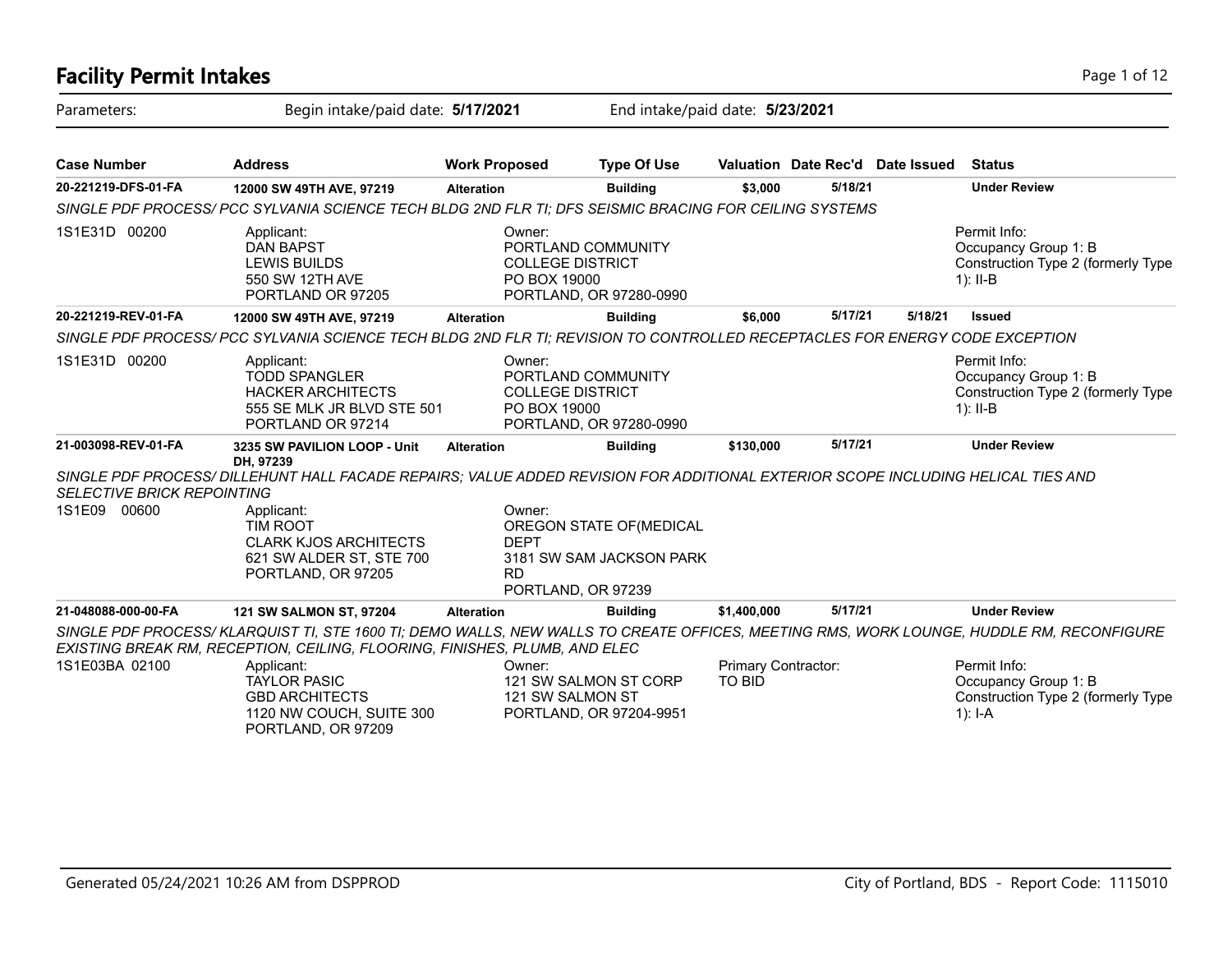## **Facility Permit Intakes** Page 1 of 12 Parameters: Begin intake/paid date: **5/17/2021** End intake/paid date: **5/23/2021 Case Number Address Work Proposed Type Of Use Valuation Date Rec'd Date Issued Status 20-221219-DFS-01-FA 12000 SW 49TH AVE, 97219 Alteration Building \$3,000 5/18/21 Under Review** *SINGLE PDF PROCESS/ PCC SYLVANIA SCIENCE TECH BLDG 2ND FLR TI; DFS SEISMIC BRACING FOR CEILING SYSTEMS* Permit Info: Occupancy Group 1: B Construction Type 2 (formerly Type 1): II-B Owner: PORTLAND COMMUNITY COLLEGE DISTRICT PO BOX 19000 PORTLAND, OR 97280-0990 Applicant: DAN BAPST LEWIS BUILDS 550 SW 12TH AVE PORTLAND OR 97205 1S1E31D 00200 **20-221219-REV-01-FA 12000 SW 49TH AVE, 97219 Alteration Building \$6,000 5/17/21 5/18/21 Issued** *SINGLE PDF PROCESS/ PCC SYLVANIA SCIENCE TECH BLDG 2ND FLR TI; REVISION TO CONTROLLED RECEPTACLES FOR ENERGY CODE EXCEPTION* Permit Info: Occupancy Group 1: B Construction Type 2 (formerly Type 1): II-B Owner: PORTLAND COMMUNITY COLLEGE DISTRICT PO BOX 19000 PORTLAND, OR 97280-0990 Applicant: TODD SPANGLER HACKER ARCHITECTS 555 SE MLK JR BLVD STE 501 PORTLAND OR 97214 1S1E31D 00200 **21-003098-REV-01-FA 3235 SW PAVILION LOOP - Unit DH, 97239 Alteration Building \$130,000 5/17/21 Under Review** *SINGLE PDF PROCESS/ DILLEHUNT HALL FACADE REPAIRS; VALUE ADDED REVISION FOR ADDITIONAL EXTERIOR SCOPE INCLUDING HELICAL TIES AND SELECTIVE BRICK REPOINTING* Owner: OREGON STATE OF(MEDICAL DEPT 3181 SW SAM JACKSON PARK RD PORTLAND, OR 97239 Applicant: TIM ROOT CLARK KJOS ARCHITECTS 621 SW ALDER ST, STE 700 PORTLAND, OR 97205 1S1E09 00600 **21-048088-000-00-FA 121 SW SALMON ST, 97204 Alteration Building \$1,400,000 5/17/21 Under Review** *SINGLE PDF PROCESS/ KLARQUIST TI, STE 1600 TI; DEMO WALLS, NEW WALLS TO CREATE OFFICES, MEETING RMS, WORK LOUNGE, HUDDLE RM, RECONFIGURE EXISTING BREAK RM, RECEPTION, CEILING, FLOORING, FINISHES, PLUMB, AND ELEC* Permit Info: Occupancy Group 1: B Construction Type 2 (formerly Type 1): I-A Primary Contractor: TO BID Owner: 121 SW SALMON ST CORP 121 SW SALMON ST PORTLAND, OR 97204-9951 Applicant: TAYLOR PASIC GBD ARCHITECTS 1120 NW COUCH, SUITE 300 PORTLAND, OR 97209 1S1E03BA 02100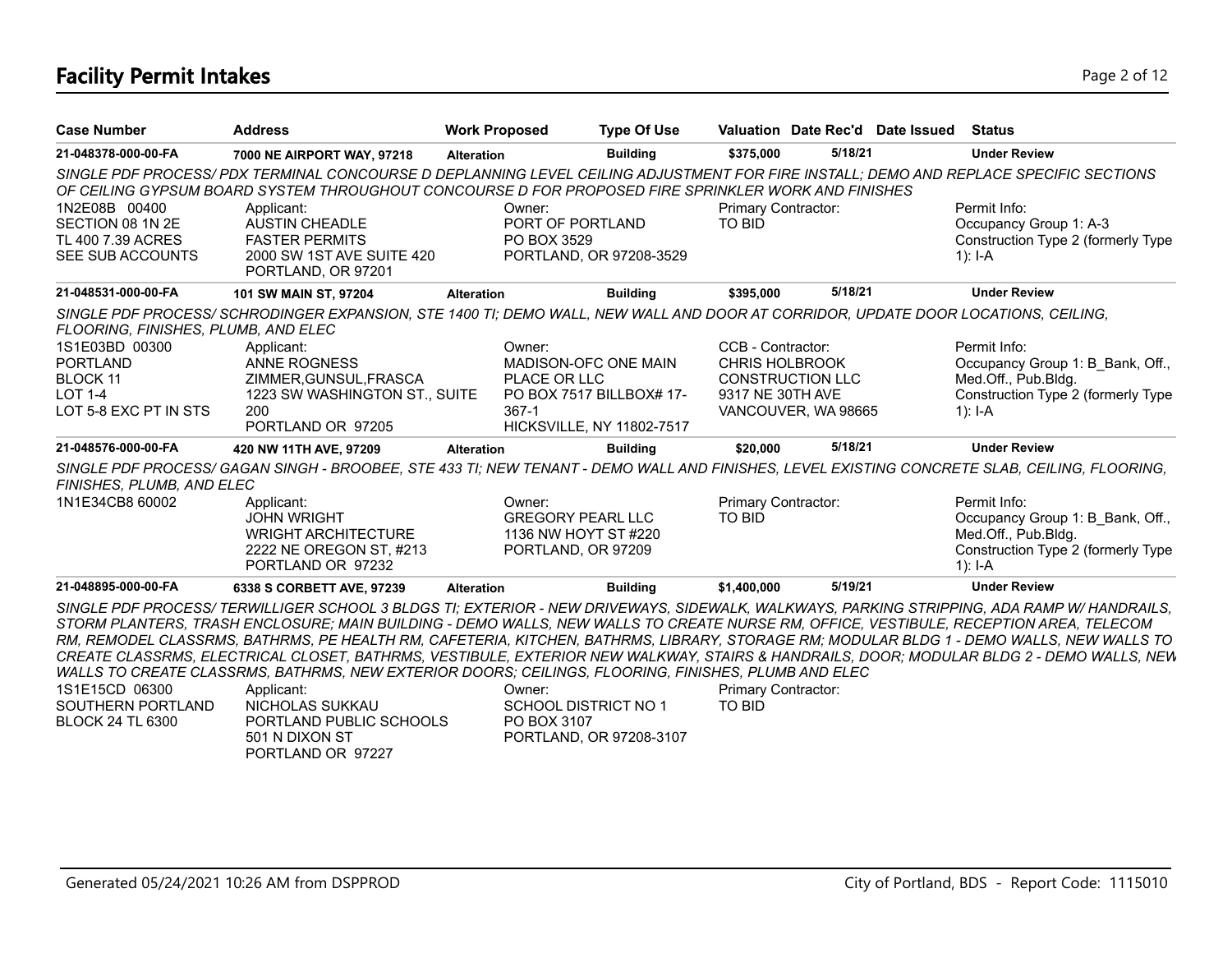# **Facility Permit Intakes** Page 2 of 12

| <b>Case Number</b>                                                         | <b>Address</b>                                                                                                                                                                                                                                                                                                                                                                                                                                                                                                                                                             | <b>Work Proposed</b>                                                             | <b>Type Of Use</b>               | Valuation Date Rec'd Date Issued                                                                    |         | <b>Status</b>                                                                                                                |
|----------------------------------------------------------------------------|----------------------------------------------------------------------------------------------------------------------------------------------------------------------------------------------------------------------------------------------------------------------------------------------------------------------------------------------------------------------------------------------------------------------------------------------------------------------------------------------------------------------------------------------------------------------------|----------------------------------------------------------------------------------|----------------------------------|-----------------------------------------------------------------------------------------------------|---------|------------------------------------------------------------------------------------------------------------------------------|
| 21-048378-000-00-FA                                                        | 7000 NE AIRPORT WAY, 97218                                                                                                                                                                                                                                                                                                                                                                                                                                                                                                                                                 | <b>Alteration</b>                                                                | <b>Building</b>                  | \$375.000                                                                                           | 5/18/21 | <b>Under Review</b>                                                                                                          |
|                                                                            | SINGLE PDF PROCESS/PDX TERMINAL CONCOURSE D DEPLANNING LEVEL CEILING ADJUSTMENT FOR FIRE INSTALL; DEMO AND REPLACE SPECIFIC SECTIONS<br>OF CEILING GYPSUM BOARD SYSTEM THROUGHOUT CONCOURSE D FOR PROPOSED FIRE SPRINKLER WORK AND FINISHES                                                                                                                                                                                                                                                                                                                                |                                                                                  |                                  |                                                                                                     |         |                                                                                                                              |
| 1N2E08B 00400<br>SECTION 08 1N 2E<br>TL 400 7.39 ACRES<br>SEE SUB ACCOUNTS | Applicant:<br>AUSTIN CHEADLE<br><b>FASTER PERMITS</b><br>2000 SW 1ST AVE SUITE 420<br>PORTLAND, OR 97201                                                                                                                                                                                                                                                                                                                                                                                                                                                                   | Owner:<br>PORT OF PORTLAND<br>PO BOX 3529                                        | PORTLAND, OR 97208-3529          | Primary Contractor:<br><b>TO BID</b>                                                                |         | Permit Info:<br>Occupancy Group 1: A-3<br>Construction Type 2 (formerly Type<br>1): $I-A$                                    |
| 21-048531-000-00-FA                                                        | 101 SW MAIN ST, 97204                                                                                                                                                                                                                                                                                                                                                                                                                                                                                                                                                      | <b>Alteration</b>                                                                | <b>Building</b>                  | \$395,000                                                                                           | 5/18/21 | <b>Under Review</b>                                                                                                          |
| FLOORING, FINISHES, PLUMB, AND ELEC                                        | SINGLE PDF PROCESS/ SCHRODINGER EXPANSION, STE 1400 TI; DEMO WALL, NEW WALL AND DOOR AT CORRIDOR, UPDATE DOOR LOCATIONS, CEILING,                                                                                                                                                                                                                                                                                                                                                                                                                                          |                                                                                  |                                  |                                                                                                     |         |                                                                                                                              |
| 1S1E03BD 00300                                                             | Applicant:                                                                                                                                                                                                                                                                                                                                                                                                                                                                                                                                                                 | Owner:                                                                           |                                  | CCB - Contractor:                                                                                   |         | Permit Info:                                                                                                                 |
| <b>PORTLAND</b>                                                            | <b>ANNE ROGNESS</b>                                                                                                                                                                                                                                                                                                                                                                                                                                                                                                                                                        |                                                                                  | <b>MADISON-OFC ONE MAIN</b>      | <b>CHRIS HOLBROOK</b>                                                                               |         | Occupancy Group 1: B_Bank, Off.,                                                                                             |
| <b>BLOCK 11</b>                                                            | ZIMMER, GUNSUL, FRASCA                                                                                                                                                                                                                                                                                                                                                                                                                                                                                                                                                     | PLACE OR LLC                                                                     |                                  | <b>CONSTRUCTION LLC</b>                                                                             |         | Med.Off., Pub.Bldg.                                                                                                          |
| <b>LOT 1-4</b><br>LOT 5-8 EXC PT IN STS                                    | 1223 SW WASHINGTON ST., SUITE                                                                                                                                                                                                                                                                                                                                                                                                                                                                                                                                              | $367-1$                                                                          | PO BOX 7517 BILLBOX# 17-         | 9317 NE 30TH AVE                                                                                    |         | Construction Type 2 (formerly Type                                                                                           |
|                                                                            | 200<br>PORTLAND OR 97205                                                                                                                                                                                                                                                                                                                                                                                                                                                                                                                                                   |                                                                                  | <b>HICKSVILLE, NY 11802-7517</b> | VANCOUVER, WA 98665                                                                                 |         | 1): $I - A$                                                                                                                  |
| 21-048576-000-00-FA                                                        | 420 NW 11TH AVE, 97209                                                                                                                                                                                                                                                                                                                                                                                                                                                                                                                                                     | <b>Alteration</b>                                                                | <b>Building</b>                  | \$20,000                                                                                            | 5/18/21 | <b>Under Review</b>                                                                                                          |
| FINISHES, PLUMB, AND ELEC                                                  | SINGLE PDF PROCESS/ GAGAN SINGH - BROOBEE, STE 433 TI; NEW TENANT - DEMO WALL AND FINISHES, LEVEL EXISTING CONCRETE SLAB, CEILING, FLOORING,                                                                                                                                                                                                                                                                                                                                                                                                                               |                                                                                  |                                  |                                                                                                     |         |                                                                                                                              |
| 1N1E34CB8 60002                                                            | Applicant:<br><b>JOHN WRIGHT</b><br><b>WRIGHT ARCHITECTURE</b><br>2222 NE OREGON ST, #213<br>PORTLAND OR 97232                                                                                                                                                                                                                                                                                                                                                                                                                                                             | Owner:<br><b>GREGORY PEARL LLC</b><br>1136 NW HOYT ST #220<br>PORTLAND, OR 97209 |                                  | Primary Contractor:<br>TO BID                                                                       |         | Permit Info:<br>Occupancy Group 1: B Bank, Off.,<br>Med.Off., Pub.Bldg.<br>Construction Type 2 (formerly Type<br>1): $I - A$ |
| 21-048895-000-00-FA                                                        | 6338 S CORBETT AVE, 97239                                                                                                                                                                                                                                                                                                                                                                                                                                                                                                                                                  | <b>Alteration</b>                                                                | <b>Building</b>                  | \$1,400,000                                                                                         | 5/19/21 | <b>Under Review</b>                                                                                                          |
|                                                                            | SINGLE PDF PROCESS/TERWILLIGER SCHOOL 3 BLDGS TI; EXTERIOR - NEW DRIVEWAYS, SIDEWALK, WALKWAYS, PARKING STRIPPING, ADA RAMP W/ HANDRAILS,<br>STORM PLANTERS, TRASH ENCLOSURE; MAIN BUILDING - DEMO WALLS, NEW WALLS TO CREATE NURSE RM, OFFICE, VESTIBULE, RECEPTION AREA, TELECOM<br>RM, REMODEL CLASSRMS, BATHRMS, PE HEALTH RM, CAFETERIA, KITCHEN, BATHRMS, LIBRARY, STORAGE RM; MODULAR BLDG 1 - DEMO WALLS, NEW WALLS TO<br>CREATE CLASSRMS, ELECTRICAL CLOSET, BATHRMS, VESTIBULE, EXTERIOR NEW WALKWAY, STAIRS & HANDRAILS, DOOR; MODULAR BLDG 2 - DEMO WALLS, NEW |                                                                                  |                                  | WALLS TO CREATE CLASSRMS, BATHRMS, NEW EXTERIOR DOORS; CEILINGS, FLOORING, FINISHES, PLUMB AND ELEC |         |                                                                                                                              |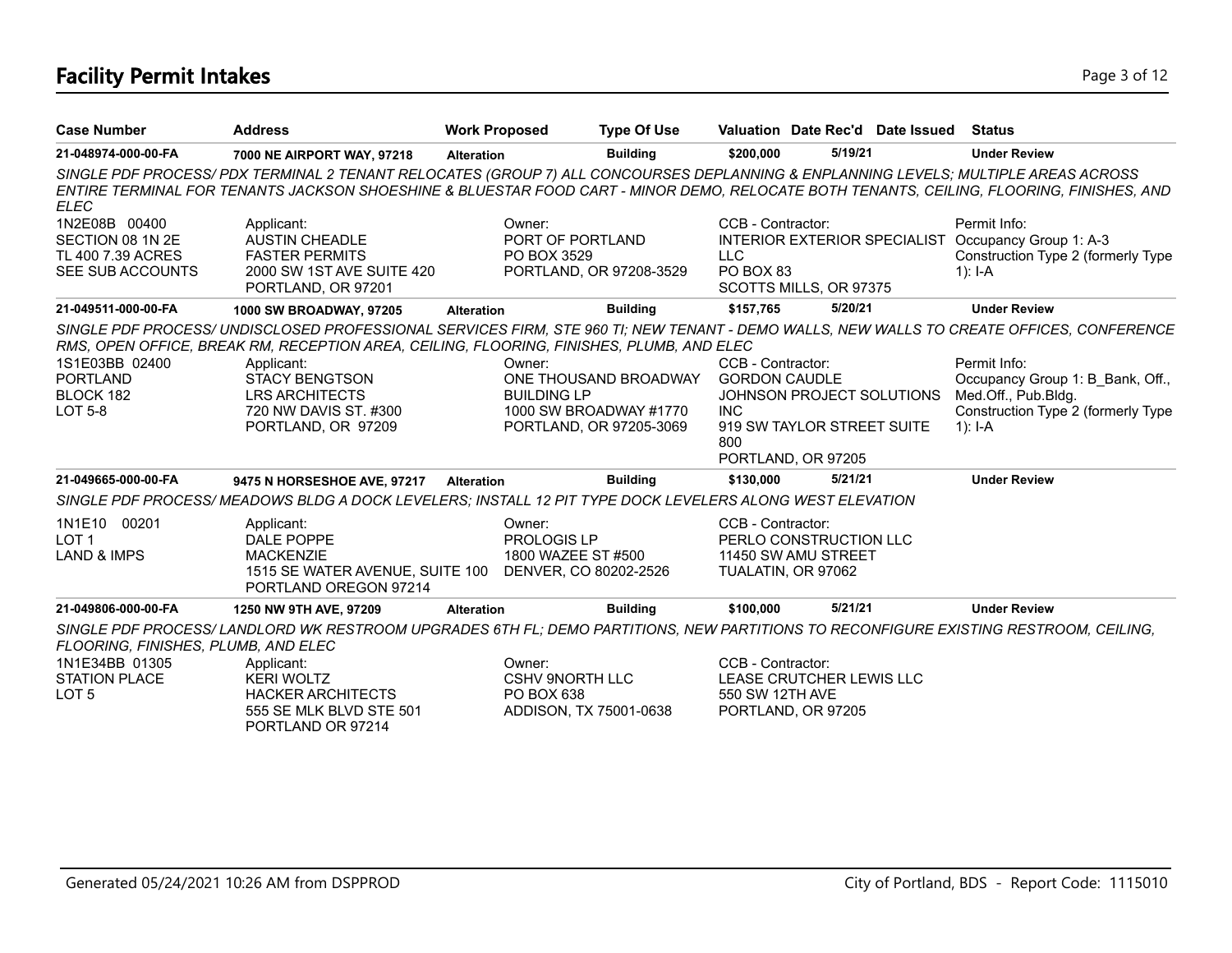# **Facility Permit Intakes** Page 3 of 12

| <b>Case Number</b>                                                         | <b>Address</b>                                                                                                                      | <b>Work Proposed</b>         | <b>Type Of Use</b>                                                         |                                                                |                                                         | Valuation Date Rec'd Date Issued | <b>Status</b>                                                                                                                            |
|----------------------------------------------------------------------------|-------------------------------------------------------------------------------------------------------------------------------------|------------------------------|----------------------------------------------------------------------------|----------------------------------------------------------------|---------------------------------------------------------|----------------------------------|------------------------------------------------------------------------------------------------------------------------------------------|
| 21-048974-000-00-FA                                                        | 7000 NE AIRPORT WAY, 97218                                                                                                          | <b>Alteration</b>            | <b>Building</b>                                                            | \$200,000                                                      | 5/19/21                                                 |                                  | <b>Under Review</b>                                                                                                                      |
| <b>ELEC</b>                                                                | SINGLE PDF PROCESS/PDX TERMINAL 2 TENANT RELOCATES (GROUP 7) ALL CONCOURSES DEPLANNING & ENPLANNING LEVELS; MULTIPLE AREAS ACROSS   |                              |                                                                            |                                                                |                                                         |                                  | ENTIRE TERMINAL FOR TENANTS JACKSON SHOESHINE & BLUESTAR FOOD CART - MINOR DEMO, RELOCATE BOTH TENANTS, CEILING, FLOORING, FINISHES, AND |
| 1N2E08B 00400<br>SECTION 08 1N 2E<br>TL 400 7.39 ACRES<br>SEE SUB ACCOUNTS | Applicant:<br><b>AUSTIN CHEADLE</b><br><b>FASTER PERMITS</b><br>2000 SW 1ST AVE SUITE 420<br>PORTLAND, OR 97201                     | Owner:<br>PO BOX 3529        | PORT OF PORTLAND<br>PORTLAND, OR 97208-3529                                | CCB - Contractor:<br><b>LLC</b><br>PO BOX 83                   | SCOTTS MILLS, OR 97375                                  |                                  | Permit Info:<br>INTERIOR EXTERIOR SPECIALIST Occupancy Group 1: A-3<br>Construction Type 2 (formerly Type<br>$1$ : I-A                   |
| 21-049511-000-00-FA                                                        | 1000 SW BROADWAY, 97205                                                                                                             | <b>Alteration</b>            | <b>Building</b>                                                            | \$157,765                                                      | 5/20/21                                                 |                                  | <b>Under Review</b>                                                                                                                      |
|                                                                            | RMS, OPEN OFFICE, BREAK RM, RECEPTION AREA, CEILING, FLOORING, FINISHES, PLUMB, AND ELEC                                            |                              |                                                                            |                                                                |                                                         |                                  | SINGLE PDF PROCESS/ UNDISCLOSED PROFESSIONAL SERVICES FIRM, STE 960 TI; NEW TENANT - DEMO WALLS, NEW WALLS TO CREATE OFFICES, CONFERENCE |
| 1S1E03BB 02400<br><b>PORTLAND</b><br>BLOCK 182<br><b>LOT 5-8</b>           | Applicant:<br><b>STACY BENGTSON</b><br><b>LRS ARCHITECTS</b><br>720 NW DAVIS ST. #300<br>PORTLAND, OR 97209                         | Owner:<br><b>BUILDING LP</b> | ONE THOUSAND BROADWAY<br>1000 SW BROADWAY #1770<br>PORTLAND, OR 97205-3069 | CCB - Contractor:<br><b>GORDON CAUDLE</b><br><b>INC</b><br>800 | JOHNSON PROJECT SOLUTIONS<br>919 SW TAYLOR STREET SUITE |                                  | Permit Info:<br>Occupancy Group 1: B Bank, Off.,<br>Med.Off., Pub.Bldg.<br>Construction Type 2 (formerly Type<br>1): $I - A$             |
|                                                                            |                                                                                                                                     |                              |                                                                            |                                                                | PORTLAND, OR 97205                                      |                                  |                                                                                                                                          |
| 21-049665-000-00-FA                                                        | 9475 N HORSESHOE AVE, 97217                                                                                                         | <b>Alteration</b>            | <b>Building</b>                                                            | \$130,000                                                      | 5/21/21                                                 |                                  | <b>Under Review</b>                                                                                                                      |
|                                                                            | SINGLE PDF PROCESS/MEADOWS BLDG A DOCK LEVELERS: INSTALL 12 PIT TYPE DOCK LEVELERS ALONG WEST ELEVATION                             |                              |                                                                            |                                                                |                                                         |                                  |                                                                                                                                          |
| 1N1E10 00201<br>LOT <sub>1</sub><br><b>LAND &amp; IMPS</b>                 | Applicant:<br>DALE POPPE<br><b>MACKENZIE</b><br>1515 SE WATER AVENUE, SUITE 100<br>PORTLAND OREGON 97214                            | Owner:<br>PROLOGIS LP        | 1800 WAZEE ST #500<br>DENVER, CO 80202-2526                                | CCB - Contractor:<br>TUALATIN, OR 97062                        | PERLO CONSTRUCTION LLC<br>11450 SW AMU STREET           |                                  |                                                                                                                                          |
| 21-049806-000-00-FA                                                        | 1250 NW 9TH AVE, 97209                                                                                                              | <b>Alteration</b>            | <b>Building</b>                                                            | \$100,000                                                      | 5/21/21                                                 |                                  | <b>Under Review</b>                                                                                                                      |
| FLOORING, FINISHES, PLUMB, AND ELEC                                        | SINGLE PDF PROCESS/LANDLORD WK RESTROOM UPGRADES 6TH FL; DEMO PARTITIONS, NEW PARTITIONS TO RECONFIGURE EXISTING RESTROOM, CEILING, |                              |                                                                            |                                                                |                                                         |                                  |                                                                                                                                          |
| 1N1E34BB 01305<br><b>STATION PLACE</b><br>LOT <sub>5</sub>                 | Applicant:<br><b>KERI WOLTZ</b><br><b>HACKER ARCHITECTS</b><br>555 SE MLK BLVD STE 501<br>PORTLAND OR 97214                         | Owner:<br>PO BOX 638         | <b>CSHV 9NORTH LLC</b><br>ADDISON, TX 75001-0638                           | CCB - Contractor:<br>550 SW 12TH AVE                           | LEASE CRUTCHER LEWIS LLC<br>PORTLAND, OR 97205          |                                  |                                                                                                                                          |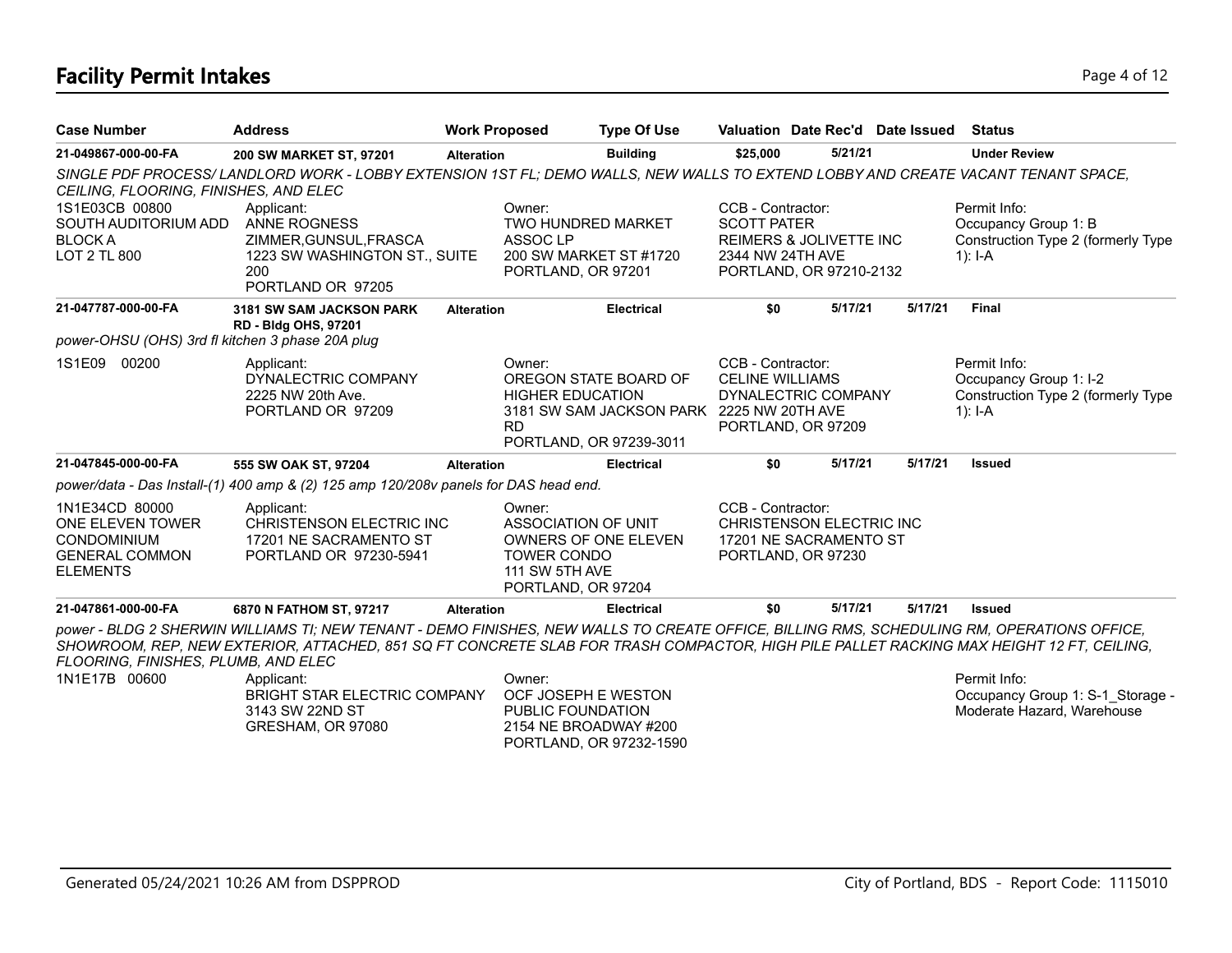# **Facility Permit Intakes** Page 4 of 12

| <b>Case Number</b>                                                                                   | <b>Address</b>                                                                                                                                                                                                                                                                        | <b>Work Proposed</b> |                                                                                                            | <b>Type Of Use</b>                                                                            | Valuation Date Rec'd Date Issued                                                                                             |         |         | <b>Status</b>                                                                             |
|------------------------------------------------------------------------------------------------------|---------------------------------------------------------------------------------------------------------------------------------------------------------------------------------------------------------------------------------------------------------------------------------------|----------------------|------------------------------------------------------------------------------------------------------------|-----------------------------------------------------------------------------------------------|------------------------------------------------------------------------------------------------------------------------------|---------|---------|-------------------------------------------------------------------------------------------|
| 21-049867-000-00-FA                                                                                  | 200 SW MARKET ST, 97201                                                                                                                                                                                                                                                               | <b>Alteration</b>    |                                                                                                            | <b>Building</b>                                                                               | \$25,000                                                                                                                     | 5/21/21 |         | <b>Under Review</b>                                                                       |
| CEILING, FLOORING, FINISHES, AND ELEC                                                                | SINGLE PDF PROCESS/LANDLORD WORK - LOBBY EXTENSION 1ST FL; DEMO WALLS, NEW WALLS TO EXTEND LOBBY AND CREATE VACANT TENANT SPACE,                                                                                                                                                      |                      |                                                                                                            |                                                                                               |                                                                                                                              |         |         |                                                                                           |
| 1S1E03CB 00800<br>SOUTH AUDITORIUM ADD<br><b>BLOCKA</b><br>LOT 2 TL 800                              | Applicant:<br><b>ANNE ROGNESS</b><br>ZIMMER, GUNSUL, FRASCA<br>1223 SW WASHINGTON ST., SUITE<br>200<br>PORTLAND OR 97205                                                                                                                                                              |                      | Owner:<br><b>TWO HUNDRED MARKET</b><br>ASSOC <sub>LP</sub><br>200 SW MARKET ST #1720<br>PORTLAND, OR 97201 |                                                                                               | CCB - Contractor:<br><b>SCOTT PATER</b><br><b>REIMERS &amp; JOLIVETTE INC</b><br>2344 NW 24TH AVE<br>PORTLAND, OR 97210-2132 |         |         | Permit Info:<br>Occupancy Group 1: B<br>Construction Type 2 (formerly Type<br>1): $I - A$ |
| 21-047787-000-00-FA                                                                                  | 3181 SW SAM JACKSON PARK                                                                                                                                                                                                                                                              | <b>Alteration</b>    |                                                                                                            | <b>Electrical</b>                                                                             | \$0                                                                                                                          | 5/17/21 | 5/17/21 | <b>Final</b>                                                                              |
| power-OHSU (OHS) 3rd fl kitchen 3 phase 20A plug                                                     | <b>RD - Bldg OHS, 97201</b>                                                                                                                                                                                                                                                           |                      |                                                                                                            |                                                                                               |                                                                                                                              |         |         |                                                                                           |
| 1S1E09<br>00200                                                                                      | Applicant:<br>DYNALECTRIC COMPANY<br>2225 NW 20th Ave.<br>PORTLAND OR 97209                                                                                                                                                                                                           |                      | Owner:<br><b>HIGHER EDUCATION</b><br><b>RD</b>                                                             | OREGON STATE BOARD OF<br>3181 SW SAM JACKSON PARK 2225 NW 20TH AVE<br>PORTLAND, OR 97239-3011 | CCB - Contractor:<br><b>CELINE WILLIAMS</b><br>DYNALECTRIC COMPANY<br>PORTLAND, OR 97209                                     |         |         | Permit Info:<br>Occupancy Group 1: I-2<br>Construction Type 2 (formerly Type<br>1): $I-A$ |
| 21-047845-000-00-FA                                                                                  | 555 SW OAK ST, 97204                                                                                                                                                                                                                                                                  | <b>Alteration</b>    |                                                                                                            | <b>Electrical</b>                                                                             | \$0                                                                                                                          | 5/17/21 | 5/17/21 | <b>Issued</b>                                                                             |
|                                                                                                      | power/data - Das Install-(1) 400 amp & (2) 125 amp 120/208v panels for DAS head end.                                                                                                                                                                                                  |                      |                                                                                                            |                                                                                               |                                                                                                                              |         |         |                                                                                           |
| 1N1E34CD 80000<br>ONE ELEVEN TOWER<br><b>CONDOMINIUM</b><br><b>GENERAL COMMON</b><br><b>ELEMENTS</b> | Applicant:<br>CHRISTENSON ELECTRIC INC<br>17201 NE SACRAMENTO ST<br>PORTLAND OR 97230-5941                                                                                                                                                                                            |                      | Owner:<br>ASSOCIATION OF UNIT<br><b>TOWER CONDO</b><br>111 SW 5TH AVE<br>PORTLAND, OR 97204                | OWNERS OF ONE ELEVEN                                                                          | CCB - Contractor:<br>CHRISTENSON ELECTRIC INC<br>17201 NE SACRAMENTO ST<br>PORTLAND, OR 97230                                |         |         |                                                                                           |
| 21-047861-000-00-FA                                                                                  | 6870 N FATHOM ST, 97217                                                                                                                                                                                                                                                               | <b>Alteration</b>    |                                                                                                            | <b>Electrical</b>                                                                             | \$0                                                                                                                          | 5/17/21 | 5/17/21 | <b>Issued</b>                                                                             |
| FLOORING, FINISHES, PLUMB, AND ELEC                                                                  | power - BLDG 2 SHERWIN WILLIAMS TI; NEW TENANT - DEMO FINISHES, NEW WALLS TO CREATE OFFICE, BILLING RMS, SCHEDULING RM, OPERATIONS OFFICE,<br>SHOWROOM, REP, NEW EXTERIOR, ATTACHED, 851 SQ FT CONCRETE SLAB FOR TRASH COMPACTOR, HIGH PILE PALLET RACKING MAX HEIGHT 12 FT, CEILING, |                      |                                                                                                            |                                                                                               |                                                                                                                              |         |         |                                                                                           |
| 1N1E17B 00600                                                                                        | Applicant:<br><b>BRIGHT STAR ELECTRIC COMPANY</b><br>3143 SW 22ND ST<br>GRESHAM, OR 97080                                                                                                                                                                                             |                      | Owner:<br>OCF JOSEPH E WESTON<br>PUBLIC FOUNDATION<br>2154 NE BROADWAY #200                                |                                                                                               |                                                                                                                              |         |         | Permit Info:<br>Occupancy Group 1: S-1 Storage -<br>Moderate Hazard, Warehouse            |

PORTLAND, OR 97232-1590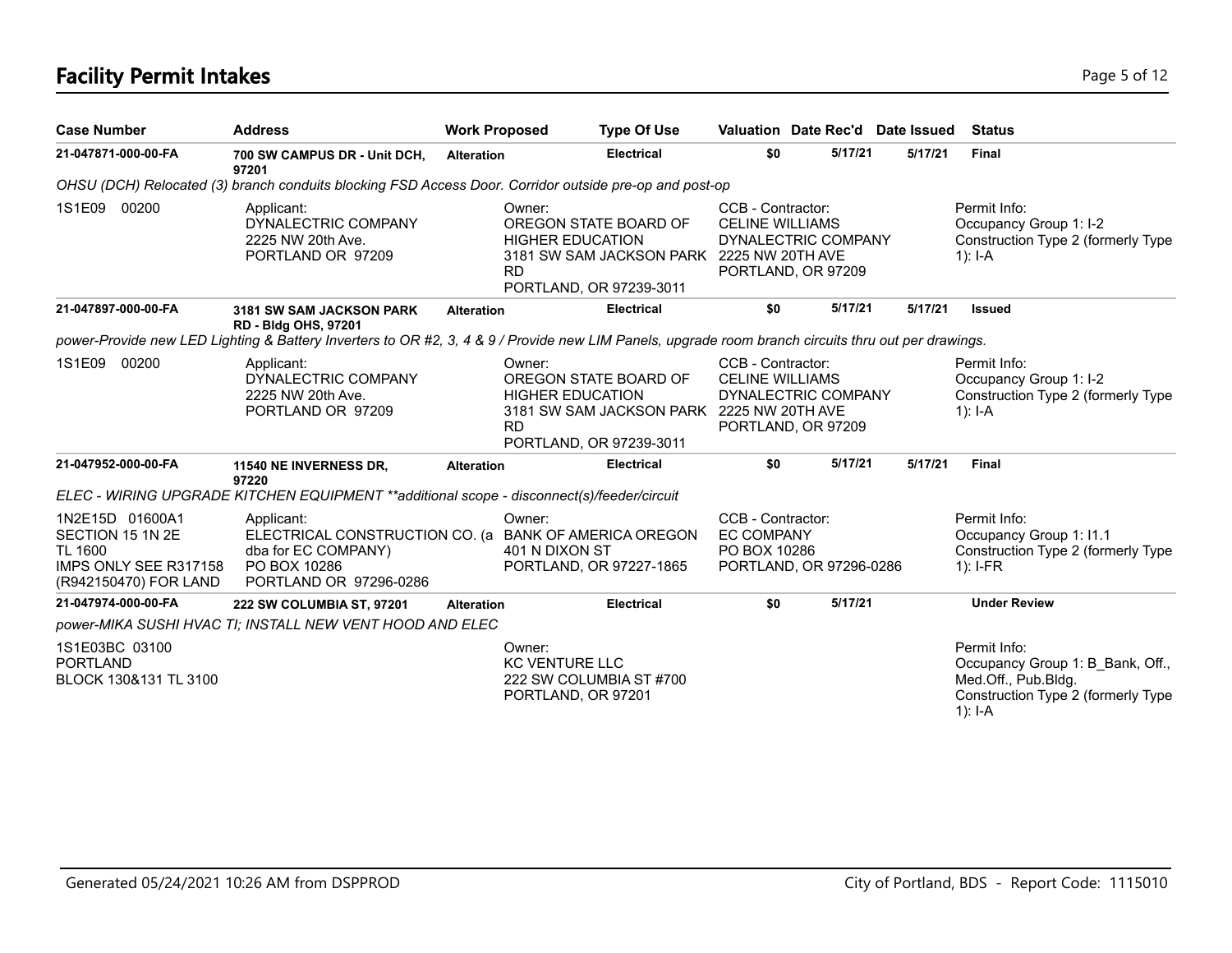# **Facility Permit Intakes** Page 5 of 12

| <b>Case Number</b>                                                                                      | <b>Address</b>                                                                                                                                                                     | <b>Work Proposed</b> |                                                       | <b>Type Of Use</b>                                                                            | Valuation Date Rec'd Date Issued                                                         |         |         | Status                                                                                                                     |
|---------------------------------------------------------------------------------------------------------|------------------------------------------------------------------------------------------------------------------------------------------------------------------------------------|----------------------|-------------------------------------------------------|-----------------------------------------------------------------------------------------------|------------------------------------------------------------------------------------------|---------|---------|----------------------------------------------------------------------------------------------------------------------------|
| 21-047871-000-00-FA                                                                                     | 700 SW CAMPUS DR - Unit DCH,<br>97201                                                                                                                                              | <b>Alteration</b>    |                                                       | <b>Electrical</b>                                                                             | \$0                                                                                      | 5/17/21 | 5/17/21 | <b>Final</b>                                                                                                               |
|                                                                                                         | OHSU (DCH) Relocated (3) branch conduits blocking FSD Access Door. Corridor outside pre-op and post-op                                                                             |                      |                                                       |                                                                                               |                                                                                          |         |         |                                                                                                                            |
| 1S1E09 00200                                                                                            | Applicant:<br>DYNALECTRIC COMPANY<br>2225 NW 20th Ave.<br>PORTLAND OR 97209                                                                                                        |                      | Owner:<br><b>HIGHER EDUCATION</b><br><b>RD</b>        | OREGON STATE BOARD OF<br>3181 SW SAM JACKSON PARK 2225 NW 20TH AVE<br>PORTLAND, OR 97239-3011 | CCB - Contractor:<br><b>CELINE WILLIAMS</b><br>DYNALECTRIC COMPANY<br>PORTLAND, OR 97209 |         |         | Permit Info:<br>Occupancy Group 1: I-2<br>Construction Type 2 (formerly Type<br>$1$ : I-A                                  |
| 21-047897-000-00-FA                                                                                     | 3181 SW SAM JACKSON PARK                                                                                                                                                           | <b>Alteration</b>    |                                                       | <b>Electrical</b>                                                                             | \$0                                                                                      | 5/17/21 | 5/17/21 | <b>Issued</b>                                                                                                              |
|                                                                                                         | <b>RD - Bldg OHS, 97201</b><br>power-Provide new LED Lighting & Battery Inverters to OR #2, 3, 4 & 9 / Provide new LIM Panels, upgrade room branch circuits thru out per drawings. |                      |                                                       |                                                                                               |                                                                                          |         |         |                                                                                                                            |
| 1S1E09 00200                                                                                            | Applicant:<br>DYNALECTRIC COMPANY<br>2225 NW 20th Ave.<br>PORTLAND OR 97209                                                                                                        |                      | Owner:<br><b>HIGHER EDUCATION</b><br><b>RD</b>        | OREGON STATE BOARD OF<br>3181 SW SAM JACKSON PARK 2225 NW 20TH AVE<br>PORTLAND, OR 97239-3011 | CCB - Contractor:<br><b>CELINE WILLIAMS</b><br>DYNALECTRIC COMPANY<br>PORTLAND, OR 97209 |         |         | Permit Info:<br>Occupancy Group 1: I-2<br>Construction Type 2 (formerly Type<br>1): $I-A$                                  |
| 21-047952-000-00-FA                                                                                     | 11540 NE INVERNESS DR,<br>97220                                                                                                                                                    | <b>Alteration</b>    |                                                       | <b>Electrical</b>                                                                             | \$0                                                                                      | 5/17/21 | 5/17/21 | <b>Final</b>                                                                                                               |
|                                                                                                         | ELEC - WIRING UPGRADE KITCHEN EQUIPMENT ** additional scope - disconnect(s)/feeder/circuit                                                                                         |                      |                                                       |                                                                                               |                                                                                          |         |         |                                                                                                                            |
| 1N2E15D 01600A1<br>SECTION 15 1N 2E<br><b>TL 1600</b><br>IMPS ONLY SEE R317158<br>(R942150470) FOR LAND | Applicant:<br>ELECTRICAL CONSTRUCTION CO. (a BANK OF AMERICA OREGON<br>dba for EC COMPANY)<br>PO BOX 10286<br>PORTLAND OR 97296-0286                                               |                      | Owner:<br>401 N DIXON ST                              | PORTLAND, OR 97227-1865                                                                       | CCB - Contractor:<br><b>EC COMPANY</b><br>PO BOX 10286<br>PORTLAND, OR 97296-0286        |         |         | Permit Info:<br>Occupancy Group 1: I1.1<br>Construction Type 2 (formerly Type<br>$1$ : I-FR                                |
| 21-047974-000-00-FA                                                                                     | 222 SW COLUMBIA ST, 97201                                                                                                                                                          | <b>Alteration</b>    |                                                       | <b>Electrical</b>                                                                             | \$0                                                                                      | 5/17/21 |         | <b>Under Review</b>                                                                                                        |
|                                                                                                         | power-MIKA SUSHI HVAC TI; INSTALL NEW VENT HOOD AND ELEC                                                                                                                           |                      |                                                       |                                                                                               |                                                                                          |         |         |                                                                                                                            |
| 1S1E03BC 03100<br><b>PORTLAND</b><br>BLOCK 130&131 TL 3100                                              |                                                                                                                                                                                    |                      | Owner:<br><b>KC VENTURE LLC</b><br>PORTLAND, OR 97201 | 222 SW COLUMBIA ST #700                                                                       |                                                                                          |         |         | Permit Info:<br>Occupancy Group 1: B Bank, Off.,<br>Med.Off., Pub.Bldg.<br>Construction Type 2 (formerly Type<br>$1$ : I-A |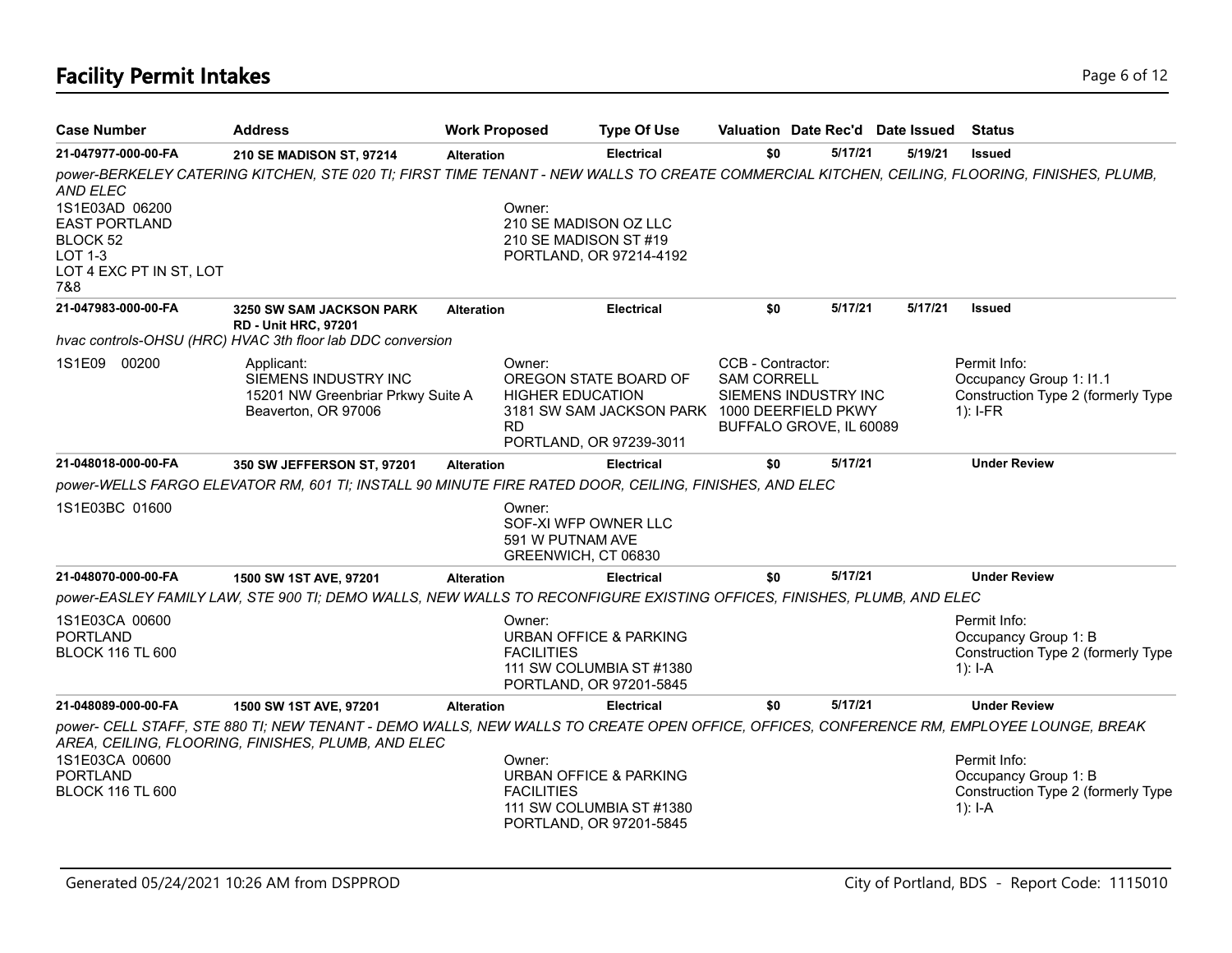# **Facility Permit Intakes** Page 6 of 12

| <b>Case Number</b>                                                                                                        | <b>Address</b>                                                                                                                                                                                | <b>Work Proposed</b>        | <b>Type Of Use</b>                                                                                                          |                                         | Valuation Date Rec'd Date Issued                |         | <b>Status</b>                                                                                                                                |
|---------------------------------------------------------------------------------------------------------------------------|-----------------------------------------------------------------------------------------------------------------------------------------------------------------------------------------------|-----------------------------|-----------------------------------------------------------------------------------------------------------------------------|-----------------------------------------|-------------------------------------------------|---------|----------------------------------------------------------------------------------------------------------------------------------------------|
| 21-047977-000-00-FA                                                                                                       | 210 SE MADISON ST, 97214                                                                                                                                                                      | <b>Alteration</b>           | <b>Electrical</b>                                                                                                           | \$0                                     | 5/17/21                                         | 5/19/21 | <b>Issued</b>                                                                                                                                |
| <b>AND ELEC</b><br>1S1E03AD 06200<br><b>EAST PORTLAND</b><br>BLOCK 52<br><b>LOT 1-3</b><br>LOT 4 EXC PT IN ST, LOT<br>7&8 |                                                                                                                                                                                               | Owner:                      | 210 SE MADISON OZ LLC<br>210 SE MADISON ST #19<br>PORTLAND, OR 97214-4192                                                   |                                         |                                                 |         | power-BERKELEY CATERING KITCHEN, STE 020 TI; FIRST TIME TENANT - NEW WALLS TO CREATE COMMERCIAL KITCHEN, CEILING, FLOORING, FINISHES, PLUMB, |
| 21-047983-000-00-FA                                                                                                       | <b>3250 SW SAM JACKSON PARK</b><br><b>RD - Unit HRC, 97201</b>                                                                                                                                | <b>Alteration</b>           | <b>Electrical</b>                                                                                                           | \$0                                     | 5/17/21                                         | 5/17/21 | <b>Issued</b>                                                                                                                                |
|                                                                                                                           | hvac controls-OHSU (HRC) HVAC 3th floor lab DDC conversion                                                                                                                                    |                             |                                                                                                                             |                                         |                                                 |         |                                                                                                                                              |
| 1S1E09 00200                                                                                                              | Applicant:<br>SIEMENS INDUSTRY INC<br>15201 NW Greenbriar Prkwy Suite A<br>Beaverton, OR 97006                                                                                                | Owner:<br><b>RD</b>         | OREGON STATE BOARD OF<br><b>HIGHER EDUCATION</b><br>3181 SW SAM JACKSON PARK 1000 DEERFIELD PKWY<br>PORTLAND, OR 97239-3011 | CCB - Contractor:<br><b>SAM CORRELL</b> | SIEMENS INDUSTRY INC<br>BUFFALO GROVE, IL 60089 |         | Permit Info:<br>Occupancy Group 1: I1.1<br>Construction Type 2 (formerly Type<br>$1$ : I-FR                                                  |
| 21-048018-000-00-FA                                                                                                       | 350 SW JEFFERSON ST, 97201                                                                                                                                                                    | <b>Alteration</b>           | <b>Electrical</b>                                                                                                           | \$0                                     | 5/17/21                                         |         | <b>Under Review</b>                                                                                                                          |
|                                                                                                                           | power-WELLS FARGO ELEVATOR RM, 601 TI; INSTALL 90 MINUTE FIRE RATED DOOR, CEILING, FINISHES, AND ELEC                                                                                         |                             |                                                                                                                             |                                         |                                                 |         |                                                                                                                                              |
| 1S1E03BC 01600                                                                                                            |                                                                                                                                                                                               | Owner:<br>591 W PUTNAM AVE  | SOF-XI WFP OWNER LLC<br>GREENWICH, CT 06830                                                                                 |                                         |                                                 |         |                                                                                                                                              |
| 21-048070-000-00-FA                                                                                                       | 1500 SW 1ST AVE, 97201                                                                                                                                                                        | <b>Alteration</b>           | <b>Electrical</b>                                                                                                           | \$0                                     | 5/17/21                                         |         | <b>Under Review</b>                                                                                                                          |
|                                                                                                                           | power-EASLEY FAMILY LAW, STE 900 TI; DEMO WALLS, NEW WALLS TO RECONFIGURE EXISTING OFFICES, FINISHES, PLUMB, AND ELEC                                                                         |                             |                                                                                                                             |                                         |                                                 |         |                                                                                                                                              |
| 1S1E03CA 00600<br><b>PORTLAND</b><br><b>BLOCK 116 TL 600</b>                                                              |                                                                                                                                                                                               | Owner:<br><b>FACILITIES</b> | <b>URBAN OFFICE &amp; PARKING</b><br>111 SW COLUMBIA ST #1380<br>PORTLAND, OR 97201-5845                                    |                                         |                                                 |         | Permit Info:<br>Occupancy Group 1: B<br>Construction Type 2 (formerly Type<br>1): $I-A$                                                      |
| 21-048089-000-00-FA                                                                                                       | 1500 SW 1ST AVE, 97201                                                                                                                                                                        | <b>Alteration</b>           | <b>Electrical</b>                                                                                                           | \$0                                     | 5/17/21                                         |         | <b>Under Review</b>                                                                                                                          |
| 1S1E03CA 00600<br><b>PORTLAND</b><br><b>BLOCK 116 TL 600</b>                                                              | power- CELL STAFF, STE 880 TI; NEW TENANT - DEMO WALLS, NEW WALLS TO CREATE OPEN OFFICE, OFFICES, CONFERENCE RM, EMPLOYEE LOUNGE, BREAK<br>AREA, CEILING, FLOORING, FINISHES, PLUMB, AND ELEC | Owner:<br><b>FACILITIES</b> | <b>URBAN OFFICE &amp; PARKING</b><br>111 SW COLUMBIA ST #1380<br>PORTLAND, OR 97201-5845                                    |                                         |                                                 |         | Permit Info:<br>Occupancy Group 1: B<br>Construction Type 2 (formerly Type<br>$1$ : I-A                                                      |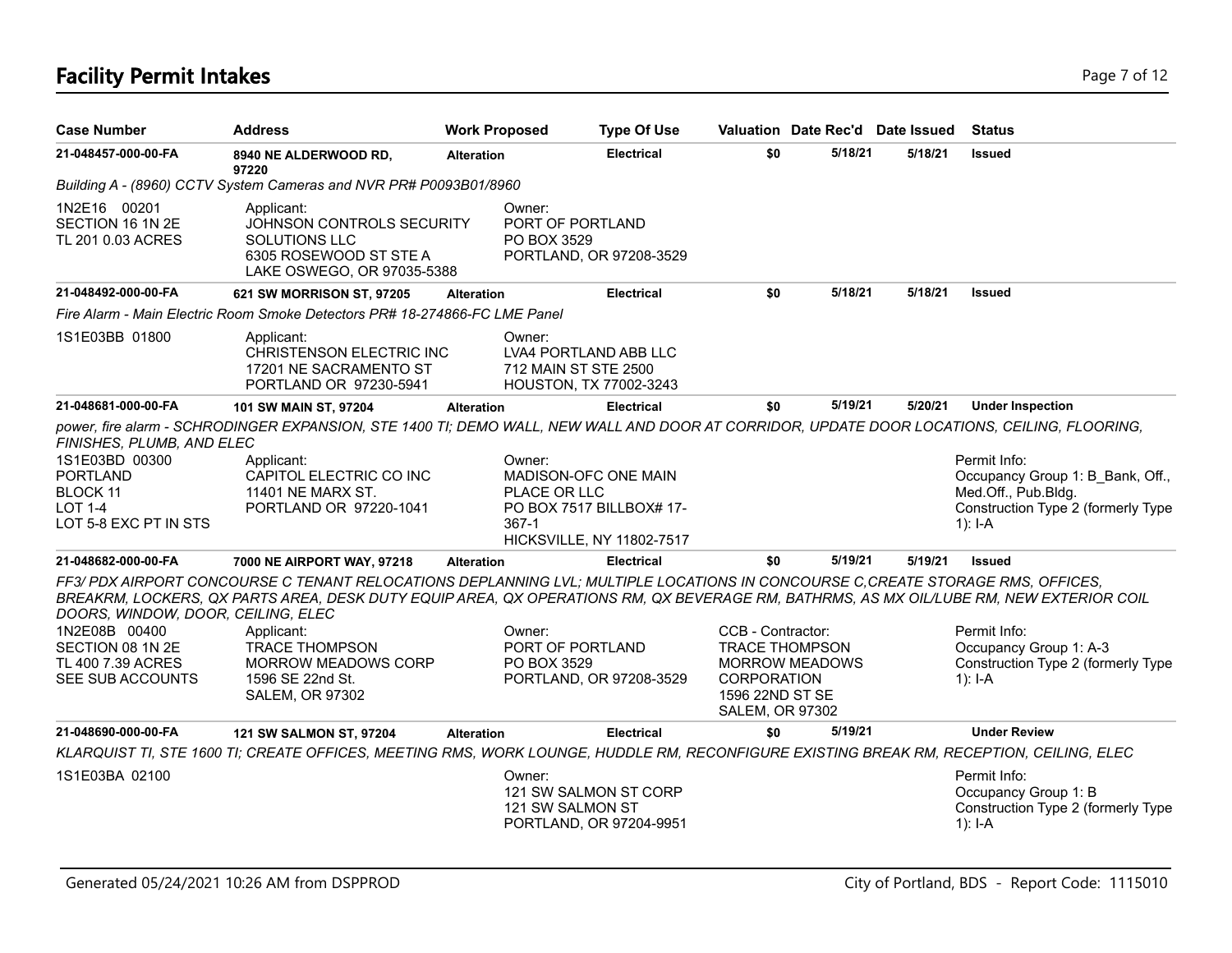# **Facility Permit Intakes** Page 7 of 12

| <b>Case Number</b>                                                                                                           | <b>Address</b>                                                                                                                                                                                                                                                                                                                                                                               | <b>Work Proposed</b> |                                                                                   | <b>Type Of Use</b>                                    |                                                                                                               | Valuation Date Rec'd Date Issued |         | <b>Status</b>                                                                                                                |
|------------------------------------------------------------------------------------------------------------------------------|----------------------------------------------------------------------------------------------------------------------------------------------------------------------------------------------------------------------------------------------------------------------------------------------------------------------------------------------------------------------------------------------|----------------------|-----------------------------------------------------------------------------------|-------------------------------------------------------|---------------------------------------------------------------------------------------------------------------|----------------------------------|---------|------------------------------------------------------------------------------------------------------------------------------|
| 21-048457-000-00-FA                                                                                                          | 8940 NE ALDERWOOD RD,<br>97220                                                                                                                                                                                                                                                                                                                                                               | <b>Alteration</b>    |                                                                                   | <b>Electrical</b>                                     | \$0                                                                                                           | 5/18/21                          | 5/18/21 | <b>Issued</b>                                                                                                                |
|                                                                                                                              | Building A - (8960) CCTV System Cameras and NVR PR# P0093B01/8960                                                                                                                                                                                                                                                                                                                            |                      |                                                                                   |                                                       |                                                                                                               |                                  |         |                                                                                                                              |
| 1N2E16 00201<br>SECTION 16 1N 2E<br>TL 201 0.03 ACRES                                                                        | Applicant:<br>JOHNSON CONTROLS SECURITY<br><b>SOLUTIONS LLC</b><br>6305 ROSEWOOD ST STE A<br>LAKE OSWEGO, OR 97035-5388                                                                                                                                                                                                                                                                      |                      | Owner:<br>PORT OF PORTLAND<br>PO BOX 3529                                         | PORTLAND, OR 97208-3529                               |                                                                                                               |                                  |         |                                                                                                                              |
| 21-048492-000-00-FA                                                                                                          | 621 SW MORRISON ST, 97205                                                                                                                                                                                                                                                                                                                                                                    | <b>Alteration</b>    |                                                                                   | <b>Electrical</b>                                     | \$0                                                                                                           | 5/18/21                          | 5/18/21 | <b>Issued</b>                                                                                                                |
|                                                                                                                              | Fire Alarm - Main Electric Room Smoke Detectors PR# 18-274866-FC LME Panel                                                                                                                                                                                                                                                                                                                   |                      |                                                                                   |                                                       |                                                                                                               |                                  |         |                                                                                                                              |
| 1S1E03BB 01800                                                                                                               | Applicant:<br>CHRISTENSON ELECTRIC INC<br>17201 NE SACRAMENTO ST<br>PORTLAND OR 97230-5941                                                                                                                                                                                                                                                                                                   |                      | Owner:<br>LVA4 PORTLAND ABB LLC<br>712 MAIN ST STE 2500<br>HOUSTON, TX 77002-3243 |                                                       |                                                                                                               |                                  |         |                                                                                                                              |
| 21-048681-000-00-FA                                                                                                          | 101 SW MAIN ST, 97204                                                                                                                                                                                                                                                                                                                                                                        | <b>Alteration</b>    |                                                                                   | <b>Electrical</b>                                     | \$0                                                                                                           | 5/19/21                          | 5/20/21 | <b>Under Inspection</b>                                                                                                      |
| FINISHES, PLUMB, AND ELEC<br>1S1E03BD 00300<br><b>PORTLAND</b><br><b>BLOCK 11</b><br><b>LOT 1-4</b><br>LOT 5-8 EXC PT IN STS | power, fire alarm - SCHRODINGER EXPANSION, STE 1400 TI; DEMO WALL, NEW WALL AND DOOR AT CORRIDOR, UPDATE DOOR LOCATIONS, CEILING, FLOORING,<br>Applicant:<br>CAPITOL ELECTRIC CO INC<br>11401 NE MARX ST.<br>PORTLAND OR 97220-1041                                                                                                                                                          |                      | Owner:<br>MADISON-OFC ONE MAIN<br>PLACE OR LLC<br>367-1                           | PO BOX 7517 BILLBOX# 17-<br>HICKSVILLE, NY 11802-7517 |                                                                                                               |                                  |         | Permit Info:<br>Occupancy Group 1: B Bank, Off.,<br>Med.Off., Pub.Bldg.<br>Construction Type 2 (formerly Type<br>1): $I - A$ |
| 21-048682-000-00-FA                                                                                                          | 7000 NE AIRPORT WAY, 97218                                                                                                                                                                                                                                                                                                                                                                   | <b>Alteration</b>    |                                                                                   | <b>Electrical</b>                                     | \$0                                                                                                           | 5/19/21                          | 5/19/21 | <b>Issued</b>                                                                                                                |
| DOORS, WINDOW, DOOR, CEILING, ELEC<br>1N2E08B 00400<br>SECTION 08 1N 2E<br>TL 400 7.39 ACRES<br>SEE SUB ACCOUNTS             | FF3/ PDX AIRPORT CONCOURSE C TENANT RELOCATIONS DEPLANNING LVL; MULTIPLE LOCATIONS IN CONCOURSE C, CREATE STORAGE RMS, OFFICES,<br>BREAKRM, LOCKERS, QX PARTS AREA, DESK DUTY EQUIP AREA, QX OPERATIONS RM, QX BEVERAGE RM, BATHRMS, AS MX OIL/LUBE RM, NEW EXTERIOR COIL<br>Applicant:<br><b>TRACE THOMPSON</b><br><b>MORROW MEADOWS CORP</b><br>1596 SE 22nd St.<br><b>SALEM, OR 97302</b> |                      | Owner:<br>PORT OF PORTLAND<br>PO BOX 3529                                         | PORTLAND, OR 97208-3529                               | CCB - Contractor:<br><b>TRACE THOMPSON</b><br><b>CORPORATION</b><br>1596 22ND ST SE<br><b>SALEM, OR 97302</b> | MORROW MEADOWS                   |         | Permit Info:<br>Occupancy Group 1: A-3<br>Construction Type 2 (formerly Type<br>$1$ : I-A                                    |
| 21-048690-000-00-FA                                                                                                          | 121 SW SALMON ST, 97204                                                                                                                                                                                                                                                                                                                                                                      | <b>Alteration</b>    |                                                                                   | <b>Electrical</b>                                     | \$0                                                                                                           | 5/19/21                          |         | <b>Under Review</b>                                                                                                          |
|                                                                                                                              | KLARQUIST TI, STE 1600 TI; CREATE OFFICES, MEETING RMS, WORK LOUNGE, HUDDLE RM, RECONFIGURE EXISTING BREAK RM, RECEPTION, CEILING, ELEC                                                                                                                                                                                                                                                      |                      |                                                                                   |                                                       |                                                                                                               |                                  |         |                                                                                                                              |
| 1S1E03BA 02100                                                                                                               |                                                                                                                                                                                                                                                                                                                                                                                              |                      | Owner:<br>121 SW SALMON ST                                                        | 121 SW SALMON ST CORP<br>PORTLAND, OR 97204-9951      |                                                                                                               |                                  |         | Permit Info:<br>Occupancy Group 1: B<br>Construction Type 2 (formerly Type<br>$1$ : I-A                                      |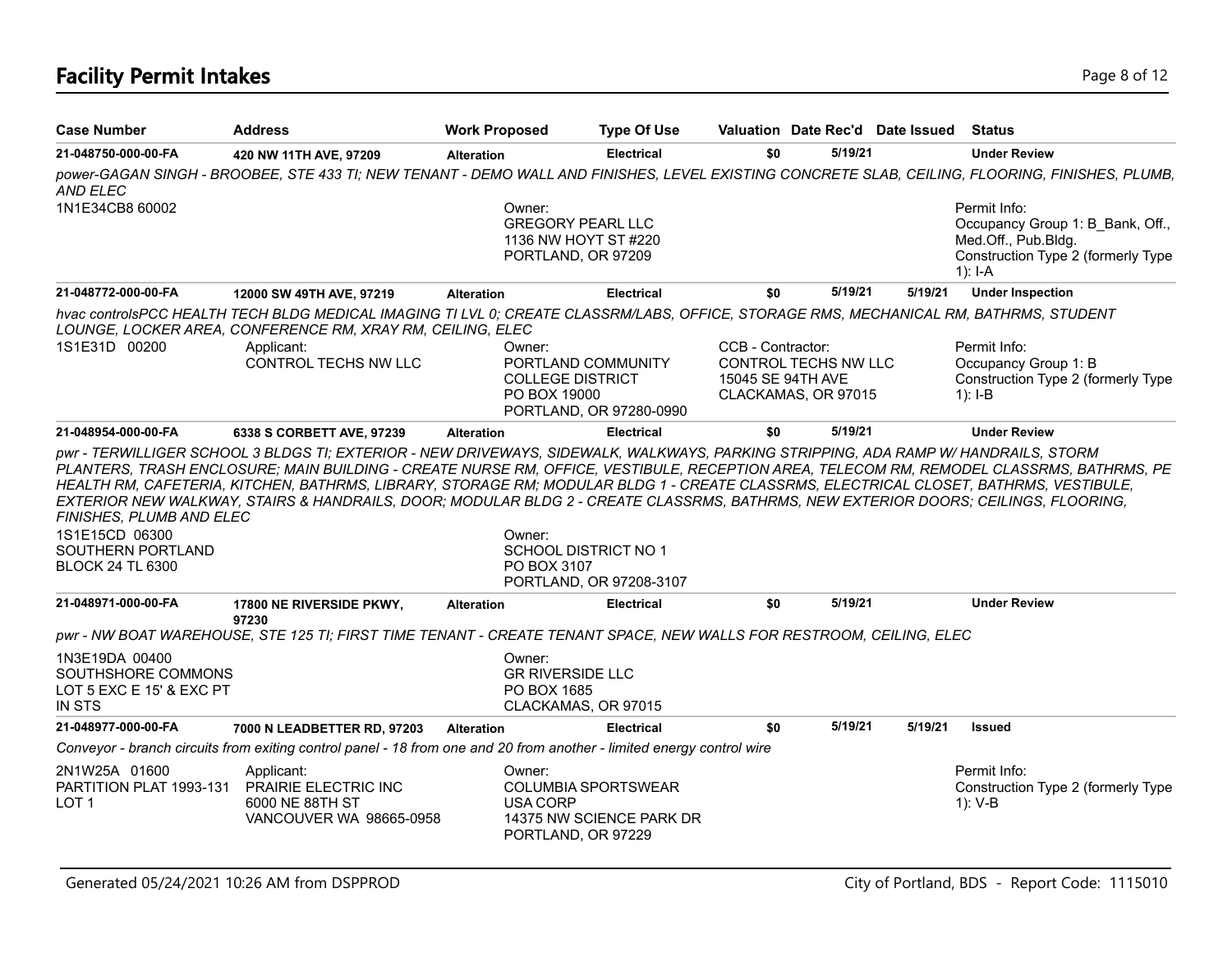# **Facility Permit Intakes** Page 8 of 12

| <b>Case Number</b>                                                                         | <b>Address</b>                                                                                                                                                                                                                                                              | <b>Work Proposed</b> | <b>Type Of Use</b>                                                                       |                                        | Valuation Date Rec'd Date Issued                   |         | <b>Status</b>                                                                                                                                   |
|--------------------------------------------------------------------------------------------|-----------------------------------------------------------------------------------------------------------------------------------------------------------------------------------------------------------------------------------------------------------------------------|----------------------|------------------------------------------------------------------------------------------|----------------------------------------|----------------------------------------------------|---------|-------------------------------------------------------------------------------------------------------------------------------------------------|
| 21-048750-000-00-FA                                                                        | 420 NW 11TH AVE, 97209                                                                                                                                                                                                                                                      | <b>Alteration</b>    | <b>Electrical</b>                                                                        | \$0                                    | 5/19/21                                            |         | <b>Under Review</b>                                                                                                                             |
| <b>AND ELEC</b>                                                                            |                                                                                                                                                                                                                                                                             |                      |                                                                                          |                                        |                                                    |         | power-GAGAN SINGH - BROOBEE, STE 433 TI; NEW TENANT - DEMO WALL AND FINISHES, LEVEL EXISTING CONCRETE SLAB, CEILING, FLOORING, FINISHES, PLUMB, |
| 1N1E34CB8 60002                                                                            |                                                                                                                                                                                                                                                                             | Owner:               | <b>GREGORY PEARL LLC</b><br>1136 NW HOYT ST #220<br>PORTLAND, OR 97209                   |                                        |                                                    |         | Permit Info:<br>Occupancy Group 1: B Bank, Off.,<br>Med.Off., Pub.Bldg.<br>Construction Type 2 (formerly Type<br>$1$ : I-A                      |
| 21-048772-000-00-FA                                                                        | 12000 SW 49TH AVE, 97219                                                                                                                                                                                                                                                    | <b>Alteration</b>    | <b>Electrical</b>                                                                        | \$0                                    | 5/19/21                                            | 5/19/21 | <b>Under Inspection</b>                                                                                                                         |
|                                                                                            | hvac controlsPCC HEALTH TECH BLDG MEDICAL IMAGING TI LVL 0; CREATE CLASSRM/LABS, OFFICE, STORAGE RMS, MECHANICAL RM, BATHRMS, STUDENT<br>LOUNGE, LOCKER AREA, CONFERENCE RM, XRAY RM, CEILING, ELEC                                                                         |                      |                                                                                          |                                        |                                                    |         |                                                                                                                                                 |
| 1S1E31D 00200                                                                              | Applicant:<br><b>CONTROL TECHS NW LLC</b>                                                                                                                                                                                                                                   | Owner:               | PORTLAND COMMUNITY<br><b>COLLEGE DISTRICT</b><br>PO BOX 19000<br>PORTLAND, OR 97280-0990 | CCB - Contractor:<br>15045 SE 94TH AVE | <b>CONTROL TECHS NW LLC</b><br>CLACKAMAS, OR 97015 |         | Permit Info:<br>Occupancy Group 1: B<br>Construction Type 2 (formerly Type<br>$1$ : I-B                                                         |
| 21-048954-000-00-FA                                                                        | 6338 S CORBETT AVE, 97239                                                                                                                                                                                                                                                   | <b>Alteration</b>    | <b>Electrical</b>                                                                        | \$0                                    | 5/19/21                                            |         | <b>Under Review</b>                                                                                                                             |
| FINISHES, PLUMB AND ELEC<br>1S1E15CD 06300<br>SOUTHERN PORTLAND<br><b>BLOCK 24 TL 6300</b> | HEALTH RM, CAFETERIA, KITCHEN, BATHRMS, LIBRARY, STORAGE RM; MODULAR BLDG 1 - CREATE CLASSRMS, ELECTRICAL CLOSET, BATHRMS, VESTIBULE,<br>EXTERIOR NEW WALKWAY, STAIRS & HANDRAILS, DOOR; MODULAR BLDG 2 - CREATE CLASSRMS, BATHRMS, NEW EXTERIOR DOORS; CEILINGS, FLOORING, | Owner:               | <b>SCHOOL DISTRICT NO 1</b><br>PO BOX 3107<br>PORTLAND, OR 97208-3107                    |                                        |                                                    |         |                                                                                                                                                 |
| 21-048971-000-00-FA                                                                        | 17800 NE RIVERSIDE PKWY,                                                                                                                                                                                                                                                    | <b>Alteration</b>    | <b>Electrical</b>                                                                        | \$0                                    | 5/19/21                                            |         | <b>Under Review</b>                                                                                                                             |
|                                                                                            | 97230<br>pwr - NW BOAT WAREHOUSE, STE 125 TI; FIRST TIME TENANT - CREATE TENANT SPACE, NEW WALLS FOR RESTROOM, CEILING, ELEC                                                                                                                                                |                      |                                                                                          |                                        |                                                    |         |                                                                                                                                                 |
| 1N3E19DA 00400<br>SOUTHSHORE COMMONS<br>LOT 5 EXC E 15' & EXC PT<br><b>IN STS</b>          |                                                                                                                                                                                                                                                                             | Owner:               | <b>GR RIVERSIDE LLC</b><br>PO BOX 1685<br>CLACKAMAS, OR 97015                            |                                        |                                                    |         |                                                                                                                                                 |
| 21-048977-000-00-FA                                                                        | 7000 N LEADBETTER RD, 97203                                                                                                                                                                                                                                                 | <b>Alteration</b>    | <b>Electrical</b>                                                                        | \$0                                    | 5/19/21                                            | 5/19/21 | <b>Issued</b>                                                                                                                                   |
|                                                                                            | Conveyor - branch circuits from exiting control panel - 18 from one and 20 from another - limited energy control wire                                                                                                                                                       |                      |                                                                                          |                                        |                                                    |         |                                                                                                                                                 |
| 2N1W25A 01600<br>PARTITION PLAT 1993-131<br>LOT <sub>1</sub>                               | Applicant:<br>PRAIRIE ELECTRIC INC<br>6000 NE 88TH ST<br>VANCOUVER WA 98665-0958                                                                                                                                                                                            | Owner:<br>USA CORP   | <b>COLUMBIA SPORTSWEAR</b><br>14375 NW SCIENCE PARK DR<br>PORTLAND, OR 97229             |                                        |                                                    |         | Permit Info:<br>Construction Type 2 (formerly Type<br>1): V-B                                                                                   |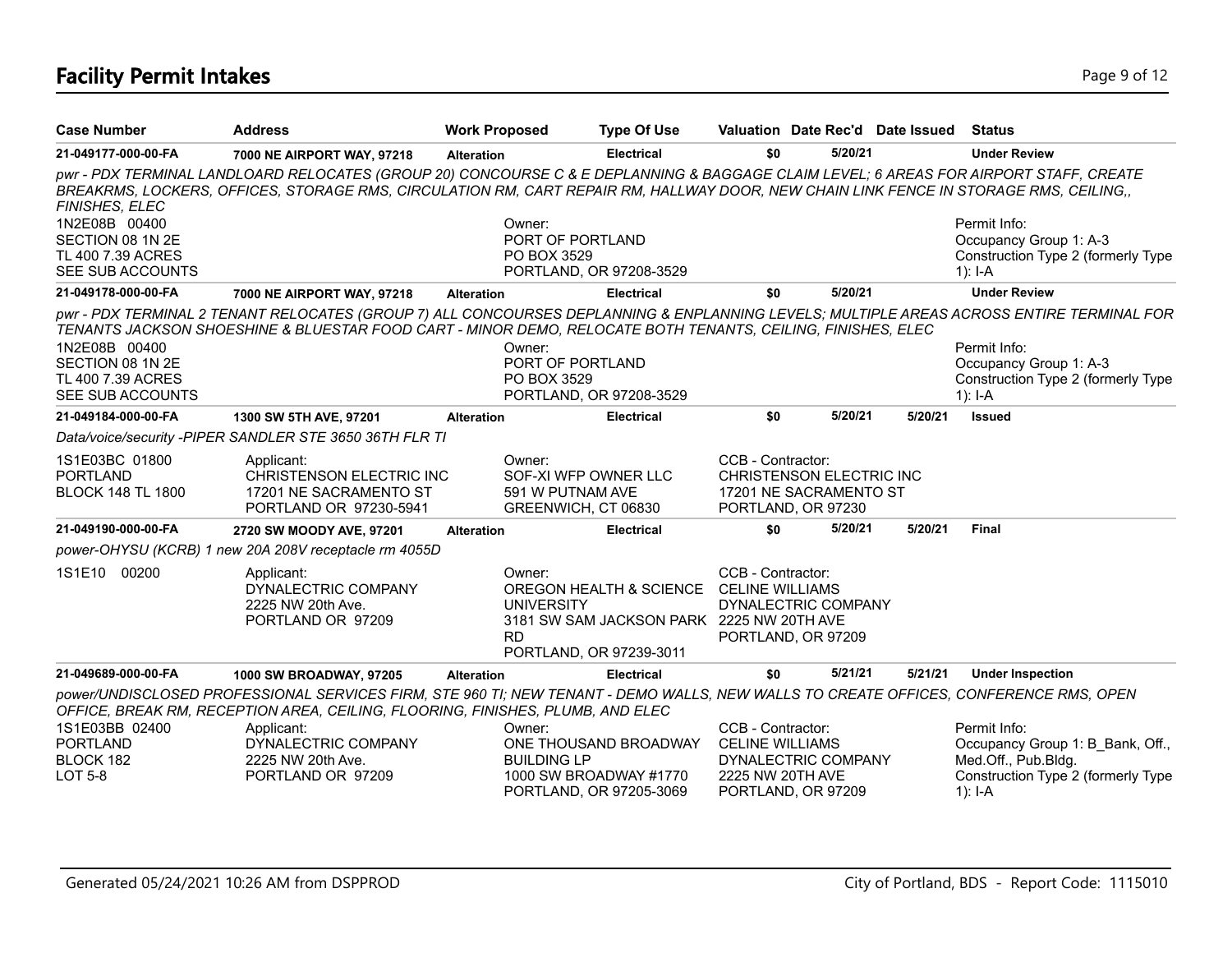# **Facility Permit Intakes** Page 9 of 12

| <b>Case Number</b>                                                         | <b>Address</b>                                                                                                                                                                                                                                                                 | <b>Work Proposed</b> | <b>Type Of Use</b>                                                                                                                                    |                                             | Valuation Date Rec'd Date Issued                                         |         | Status                                                                                                                                                                                                                                |
|----------------------------------------------------------------------------|--------------------------------------------------------------------------------------------------------------------------------------------------------------------------------------------------------------------------------------------------------------------------------|----------------------|-------------------------------------------------------------------------------------------------------------------------------------------------------|---------------------------------------------|--------------------------------------------------------------------------|---------|---------------------------------------------------------------------------------------------------------------------------------------------------------------------------------------------------------------------------------------|
| 21-049177-000-00-FA                                                        | 7000 NE AIRPORT WAY, 97218                                                                                                                                                                                                                                                     | <b>Alteration</b>    | <b>Electrical</b>                                                                                                                                     | \$0                                         | 5/20/21                                                                  |         | <b>Under Review</b>                                                                                                                                                                                                                   |
| FINISHES, ELEC                                                             | pwr - PDX TERMINAL LANDLOARD RELOCATES (GROUP 20) CONCOURSE C & E DEPLANNING & BAGGAGE CLAIM LEVEL; 6 AREAS FOR AIRPORT STAFF, CREATE<br>BREAKRMS, LOCKERS, OFFICES, STORAGE RMS, CIRCULATION RM, CART REPAIR RM, HALLWAY DOOR, NEW CHAIN LINK FENCE IN STORAGE RMS, CEILING,, |                      |                                                                                                                                                       |                                             |                                                                          |         |                                                                                                                                                                                                                                       |
| 1N2E08B 00400<br>SECTION 08 1N 2E<br>TL 400 7.39 ACRES<br>SEE SUB ACCOUNTS |                                                                                                                                                                                                                                                                                |                      | Owner:<br>PORT OF PORTLAND<br>PO BOX 3529<br>PORTLAND, OR 97208-3529                                                                                  |                                             |                                                                          |         | Permit Info:<br>Occupancy Group 1: A-3<br>Construction Type 2 (formerly Type<br>1): $I - A$                                                                                                                                           |
| 21-049178-000-00-FA                                                        | 7000 NE AIRPORT WAY, 97218                                                                                                                                                                                                                                                     | <b>Alteration</b>    | <b>Electrical</b>                                                                                                                                     | \$0                                         | 5/20/21                                                                  |         | <b>Under Review</b>                                                                                                                                                                                                                   |
| 1N2E08B 00400<br>SECTION 08 1N 2E<br>TL 400 7.39 ACRES<br>SEE SUB ACCOUNTS | TENANTS JACKSON SHOESHINE & BLUESTAR FOOD CART - MINOR DEMO, RELOCATE BOTH TENANTS, CEILING, FINISHES, ELEC                                                                                                                                                                    |                      | Owner:<br>PORT OF PORTLAND<br>PO BOX 3529<br>PORTLAND, OR 97208-3529                                                                                  |                                             |                                                                          |         | pwr - PDX TERMINAL 2 TENANT RELOCATES (GROUP 7) ALL CONCOURSES DEPLANNING & ENPLANNING LEVELS; MULTIPLE AREAS ACROSS ENTIRE TERMINAL FOR<br>Permit Info:<br>Occupancy Group 1: A-3<br>Construction Type 2 (formerly Type<br>$1$ : I-A |
| 21-049184-000-00-FA                                                        | 1300 SW 5TH AVE, 97201                                                                                                                                                                                                                                                         | <b>Alteration</b>    | <b>Electrical</b>                                                                                                                                     | \$0                                         | 5/20/21                                                                  | 5/20/21 | <b>Issued</b>                                                                                                                                                                                                                         |
|                                                                            | Data/voice/security -PIPER SANDLER STE 3650 36TH FLR TI                                                                                                                                                                                                                        |                      |                                                                                                                                                       |                                             |                                                                          |         |                                                                                                                                                                                                                                       |
| 1S1E03BC 01800<br><b>PORTLAND</b><br><b>BLOCK 148 TL 1800</b>              | Applicant:<br>CHRISTENSON ELECTRIC INC<br>17201 NE SACRAMENTO ST<br>PORTLAND OR 97230-5941                                                                                                                                                                                     |                      | Owner:<br>SOF-XI WFP OWNER LLC<br>591 W PUTNAM AVE<br>GREENWICH, CT 06830                                                                             | CCB - Contractor:                           | CHRISTENSON ELECTRIC INC<br>17201 NE SACRAMENTO ST<br>PORTLAND, OR 97230 |         |                                                                                                                                                                                                                                       |
| 21-049190-000-00-FA                                                        | 2720 SW MOODY AVE, 97201                                                                                                                                                                                                                                                       | <b>Alteration</b>    | <b>Electrical</b>                                                                                                                                     | \$0                                         | 5/20/21                                                                  | 5/20/21 | Final                                                                                                                                                                                                                                 |
|                                                                            | power-OHYSU (KCRB) 1 new 20A 208V receptacle rm 4055D                                                                                                                                                                                                                          |                      |                                                                                                                                                       |                                             |                                                                          |         |                                                                                                                                                                                                                                       |
| 1S1E10 00200                                                               | Applicant:<br>DYNALECTRIC COMPANY<br>2225 NW 20th Ave.<br>PORTLAND OR 97209                                                                                                                                                                                                    |                      | Owner:<br>OREGON HEALTH & SCIENCE CELINE WILLIAMS<br><b>UNIVERSITY</b><br>3181 SW SAM JACKSON PARK 2225 NW 20TH AVE<br>RD.<br>PORTLAND, OR 97239-3011 | CCB - Contractor:                           | DYNALECTRIC COMPANY<br>PORTLAND, OR 97209                                |         |                                                                                                                                                                                                                                       |
| 21-049689-000-00-FA                                                        | 1000 SW BROADWAY, 97205                                                                                                                                                                                                                                                        | <b>Alteration</b>    | <b>Electrical</b>                                                                                                                                     | \$0                                         | 5/21/21                                                                  | 5/21/21 | <b>Under Inspection</b>                                                                                                                                                                                                               |
|                                                                            | power/UNDISCLOSED PROFESSIONAL SERVICES FIRM, STE 960 TI; NEW TENANT - DEMO WALLS, NEW WALLS TO CREATE OFFICES, CONFERENCE RMS, OPEN<br>OFFICE, BREAK RM, RECEPTION AREA, CEILING, FLOORING, FINISHES, PLUMB, AND ELEC                                                         |                      |                                                                                                                                                       |                                             |                                                                          |         |                                                                                                                                                                                                                                       |
| 1S1E03BB 02400<br><b>PORTLAND</b><br>BLOCK 182<br><b>LOT 5-8</b>           | Applicant:<br>DYNALECTRIC COMPANY<br>2225 NW 20th Ave.<br>PORTLAND OR 97209                                                                                                                                                                                                    |                      | Owner:<br>ONE THOUSAND BROADWAY<br><b>BUILDING LP</b><br>1000 SW BROADWAY #1770<br>PORTLAND, OR 97205-3069                                            | CCB - Contractor:<br><b>CELINE WILLIAMS</b> | DYNALECTRIC COMPANY<br>2225 NW 20TH AVE<br>PORTLAND, OR 97209            |         | Permit Info:<br>Occupancy Group 1: B Bank, Off.,<br>Med.Off., Pub.Bldg.<br>Construction Type 2 (formerly Type<br>$1$ : I-A                                                                                                            |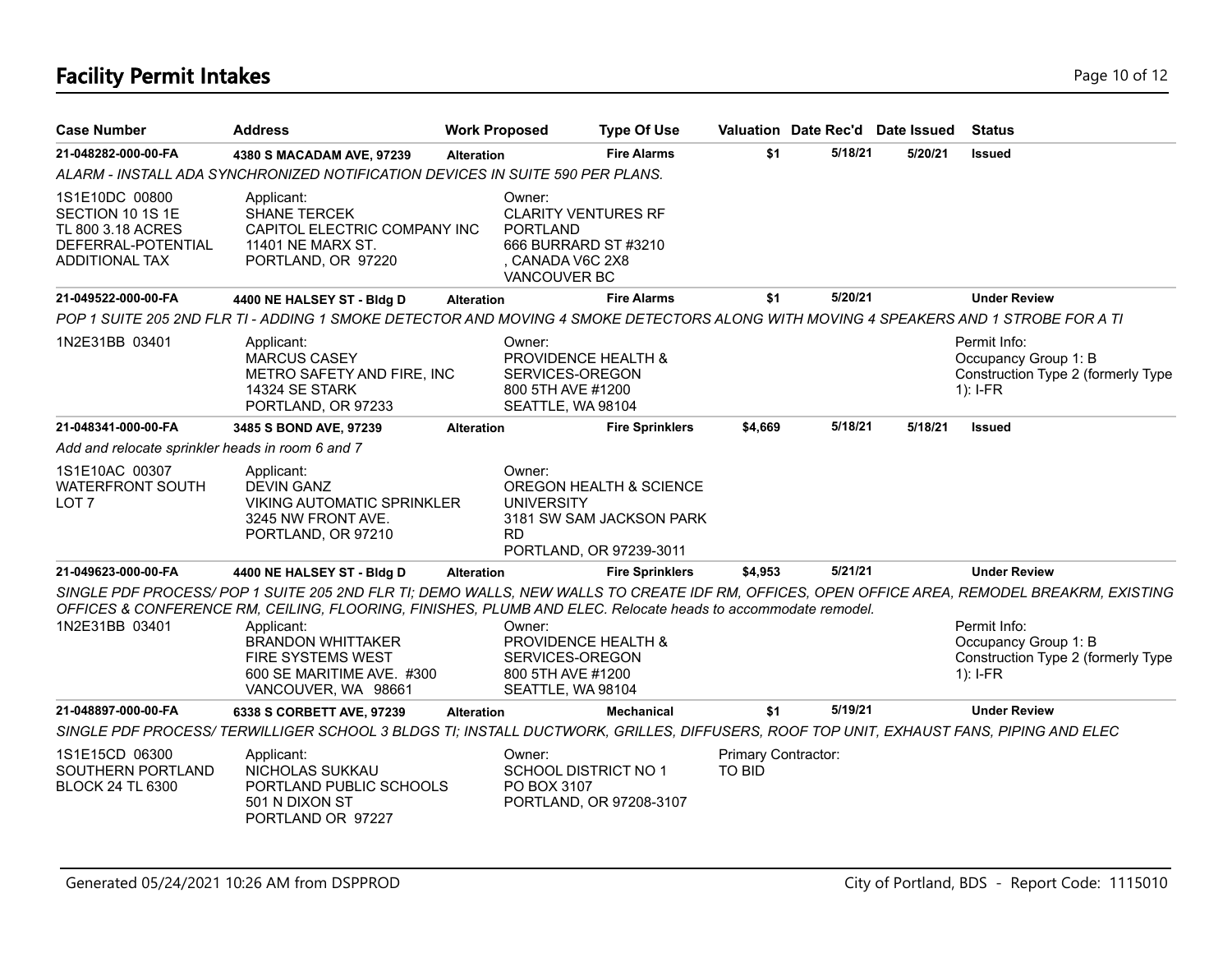# **Facility Permit Intakes** Page 10 of 12

| <b>Case Number</b>                                                                              | <b>Address</b>                                                                                                                                                                                                                                                                                                                                                                        | <b>Work Proposed</b> |                                                                                                                          | <b>Type Of Use</b>                                                             |                                      |         | Valuation Date Rec'd Date Issued | <b>Status</b>                                                                            |
|-------------------------------------------------------------------------------------------------|---------------------------------------------------------------------------------------------------------------------------------------------------------------------------------------------------------------------------------------------------------------------------------------------------------------------------------------------------------------------------------------|----------------------|--------------------------------------------------------------------------------------------------------------------------|--------------------------------------------------------------------------------|--------------------------------------|---------|----------------------------------|------------------------------------------------------------------------------------------|
| 21-048282-000-00-FA                                                                             | 4380 S MACADAM AVE, 97239                                                                                                                                                                                                                                                                                                                                                             | <b>Alteration</b>    |                                                                                                                          | <b>Fire Alarms</b>                                                             | \$1                                  | 5/18/21 | 5/20/21                          | <b>Issued</b>                                                                            |
|                                                                                                 | ALARM - INSTALL ADA SYNCHRONIZED NOTIFICATION DEVICES IN SUITE 590 PER PLANS.                                                                                                                                                                                                                                                                                                         |                      |                                                                                                                          |                                                                                |                                      |         |                                  |                                                                                          |
| 1S1E10DC 00800<br>SECTION 10 1S 1E<br>TL 800 3.18 ACRES<br>DEFERRAL-POTENTIAL<br>ADDITIONAL TAX | Applicant:<br><b>SHANE TERCEK</b><br>CAPITOL ELECTRIC COMPANY INC<br>11401 NE MARX ST.<br>PORTLAND, OR 97220                                                                                                                                                                                                                                                                          |                      | Owner:<br><b>CLARITY VENTURES RF</b><br><b>PORTLAND</b><br>666 BURRARD ST #3210<br>CANADA V6C 2X8<br><b>VANCOUVER BC</b> |                                                                                |                                      |         |                                  |                                                                                          |
| 21-049522-000-00-FA                                                                             | 4400 NE HALSEY ST - Bldg D                                                                                                                                                                                                                                                                                                                                                            | <b>Alteration</b>    |                                                                                                                          | <b>Fire Alarms</b>                                                             | \$1                                  | 5/20/21 |                                  | <b>Under Review</b>                                                                      |
|                                                                                                 | POP 1 SUITE 205 2ND FLR TI - ADDING 1 SMOKE DETECTOR AND MOVING 4 SMOKE DETECTORS ALONG WITH MOVING 4 SPEAKERS AND 1 STROBE FOR A TI                                                                                                                                                                                                                                                  |                      |                                                                                                                          |                                                                                |                                      |         |                                  |                                                                                          |
| 1N2E31BB 03401                                                                                  | Applicant:<br><b>MARCUS CASEY</b><br>METRO SAFETY AND FIRE, INC<br>14324 SE STARK<br>PORTLAND, OR 97233                                                                                                                                                                                                                                                                               |                      | Owner:<br>PROVIDENCE HEALTH &<br>SERVICES-OREGON<br>800 5TH AVE #1200<br>SEATTLE, WA 98104                               |                                                                                |                                      |         |                                  | Permit Info:<br>Occupancy Group 1: B<br>Construction Type 2 (formerly Type<br>$1$ : I-FR |
| 21-048341-000-00-FA                                                                             | 3485 S BOND AVE, 97239                                                                                                                                                                                                                                                                                                                                                                | <b>Alteration</b>    |                                                                                                                          | <b>Fire Sprinklers</b>                                                         | \$4.669                              | 5/18/21 | 5/18/21                          | <b>Issued</b>                                                                            |
| Add and relocate sprinkler heads in room 6 and 7                                                |                                                                                                                                                                                                                                                                                                                                                                                       |                      |                                                                                                                          |                                                                                |                                      |         |                                  |                                                                                          |
| 1S1E10AC 00307<br><b>WATERFRONT SOUTH</b><br>LOT <sub>7</sub>                                   | Applicant:<br><b>DEVIN GANZ</b><br><b>VIKING AUTOMATIC SPRINKLER</b><br>3245 NW FRONT AVE.<br>PORTLAND, OR 97210                                                                                                                                                                                                                                                                      |                      | Owner:<br><b>UNIVERSITY</b><br><b>RD</b>                                                                                 | OREGON HEALTH & SCIENCE<br>3181 SW SAM JACKSON PARK<br>PORTLAND, OR 97239-3011 |                                      |         |                                  |                                                                                          |
| 21-049623-000-00-FA                                                                             | 4400 NE HALSEY ST - Bldg D                                                                                                                                                                                                                                                                                                                                                            | <b>Alteration</b>    |                                                                                                                          | <b>Fire Sprinklers</b>                                                         | \$4,953                              | 5/21/21 |                                  | <b>Under Review</b>                                                                      |
| 1N2E31BB 03401                                                                                  | SINGLE PDF PROCESS/POP 1 SUITE 205 2ND FLR TI; DEMO WALLS, NEW WALLS TO CREATE IDF RM, OFFICES, OPEN OFFICE AREA, REMODEL BREAKRM, EXISTING<br>OFFICES & CONFERENCE RM, CEILING, FLOORING, FINISHES, PLUMB AND ELEC. Relocate heads to accommodate remodel.<br>Applicant:<br><b>BRANDON WHITTAKER</b><br><b>FIRE SYSTEMS WEST</b><br>600 SE MARITIME AVE. #300<br>VANCOUVER, WA 98661 |                      | Owner:<br><b>PROVIDENCE HEALTH &amp;</b><br>SERVICES-OREGON<br>800 5TH AVE #1200<br>SEATTLE, WA 98104                    |                                                                                |                                      |         |                                  | Permit Info:<br>Occupancy Group 1: B<br>Construction Type 2 (formerly Type<br>$1$ : I-FR |
| 21-048897-000-00-FA                                                                             | 6338 S CORBETT AVE, 97239                                                                                                                                                                                                                                                                                                                                                             | <b>Alteration</b>    |                                                                                                                          | <b>Mechanical</b>                                                              | \$1                                  | 5/19/21 |                                  | <b>Under Review</b>                                                                      |
|                                                                                                 | SINGLE PDF PROCESS/TERWILLIGER SCHOOL 3 BLDGS TI; INSTALL DUCTWORK, GRILLES, DIFFUSERS, ROOF TOP UNIT, EXHAUST FANS, PIPING AND ELEC                                                                                                                                                                                                                                                  |                      |                                                                                                                          |                                                                                |                                      |         |                                  |                                                                                          |
| 1S1E15CD 06300<br>SOUTHERN PORTLAND<br><b>BLOCK 24 TL 6300</b>                                  | Applicant:<br>NICHOLAS SUKKAU<br>PORTLAND PUBLIC SCHOOLS<br>501 N DIXON ST<br>PORTLAND OR 97227                                                                                                                                                                                                                                                                                       |                      | Owner:<br><b>SCHOOL DISTRICT NO 1</b><br>PO BOX 3107                                                                     | PORTLAND, OR 97208-3107                                                        | Primary Contractor:<br><b>TO BID</b> |         |                                  |                                                                                          |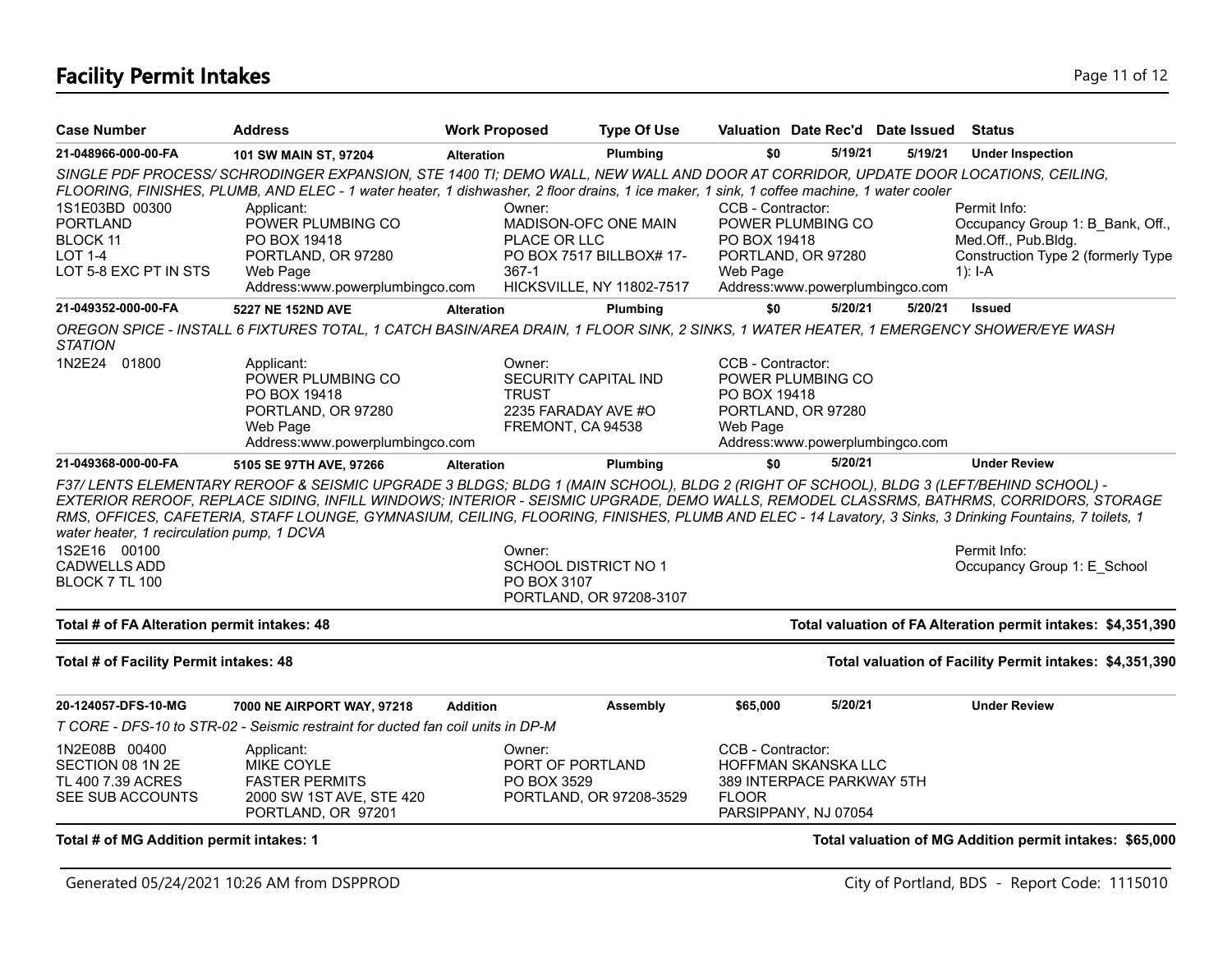# **Facility Permit Intakes** Page 11 of 12

| <b>Case Number</b>                                                                                  | <b>Address</b>                                                                                                                                                                                                                                                                                                                                                                                                                              | <b>Work Proposed</b>   | <b>Type Of Use</b>                                                                            |                                               |                                                                            | Valuation Date Rec'd Date Issued | <b>Status</b>                                                                                                              |
|-----------------------------------------------------------------------------------------------------|---------------------------------------------------------------------------------------------------------------------------------------------------------------------------------------------------------------------------------------------------------------------------------------------------------------------------------------------------------------------------------------------------------------------------------------------|------------------------|-----------------------------------------------------------------------------------------------|-----------------------------------------------|----------------------------------------------------------------------------|----------------------------------|----------------------------------------------------------------------------------------------------------------------------|
| 21-048966-000-00-FA                                                                                 | 101 SW MAIN ST, 97204                                                                                                                                                                                                                                                                                                                                                                                                                       | <b>Alteration</b>      | Plumbing                                                                                      | \$0                                           | 5/19/21                                                                    | 5/19/21                          | <b>Under Inspection</b>                                                                                                    |
|                                                                                                     | SINGLE PDF PROCESS/SCHRODINGER EXPANSION, STE 1400 TI; DEMO WALL, NEW WALL AND DOOR AT CORRIDOR, UPDATE DOOR LOCATIONS, CEILING,<br>FLOORING, FINISHES, PLUMB, AND ELEC - 1 water heater, 1 dishwasher, 2 floor drains, 1 ice maker, 1 sink, 1 coffee machine, 1 water cooler                                                                                                                                                               |                        |                                                                                               |                                               |                                                                            |                                  |                                                                                                                            |
| 1S1E03BD 00300<br><b>PORTLAND</b><br><b>BLOCK 11</b><br>LOT 1-4<br>LOT 5-8 EXC PT IN STS            | Applicant:<br>POWER PLUMBING CO<br>PO BOX 19418<br>PORTLAND, OR 97280<br>Web Page<br>Address:www.powerplumbingco.com                                                                                                                                                                                                                                                                                                                        | Owner:<br>367-1        | MADISON-OFC ONE MAIN<br>PLACE OR LLC<br>PO BOX 7517 BILLBOX# 17-<br>HICKSVILLE, NY 11802-7517 | CCB - Contractor:<br>PO BOX 19418<br>Web Page | POWER PLUMBING CO<br>PORTLAND, OR 97280<br>Address:www.powerplumbingco.com |                                  | Permit Info:<br>Occupancy Group 1: B Bank, Off.,<br>Med.Off., Pub.Bldg.<br>Construction Type 2 (formerly Type<br>$1$ : I-A |
| 21-049352-000-00-FA                                                                                 | 5227 NE 152ND AVE                                                                                                                                                                                                                                                                                                                                                                                                                           | <b>Alteration</b>      | Plumbing                                                                                      | \$0                                           | 5/20/21                                                                    | 5/20/21                          | <b>Issued</b>                                                                                                              |
| <i><b>STATION</b></i>                                                                               | OREGON SPICE - INSTALL 6 FIXTURES TOTAL, 1 CATCH BASIN/AREA DRAIN, 1 FLOOR SINK, 2 SINKS, 1 WATER HEATER, 1 EMERGENCY SHOWER/EYE WASH                                                                                                                                                                                                                                                                                                       |                        |                                                                                               |                                               |                                                                            |                                  |                                                                                                                            |
| 1N2E24 01800                                                                                        | Applicant:<br>POWER PLUMBING CO<br>PO BOX 19418<br>PORTLAND, OR 97280<br>Web Page<br>Address:www.powerplumbingco.com                                                                                                                                                                                                                                                                                                                        | Owner:<br><b>TRUST</b> | SECURITY CAPITAL IND<br>2235 FARADAY AVE #O<br>FREMONT, CA 94538                              | CCB - Contractor:<br>PO BOX 19418<br>Web Page | POWER PLUMBING CO<br>PORTLAND, OR 97280<br>Address:www.powerplumbingco.com |                                  |                                                                                                                            |
| 21-049368-000-00-FA                                                                                 | 5105 SE 97TH AVE, 97266                                                                                                                                                                                                                                                                                                                                                                                                                     | <b>Alteration</b>      | Plumbing                                                                                      | \$0                                           | 5/20/21                                                                    |                                  | <b>Under Review</b>                                                                                                        |
| water heater, 1 recirculation pump, 1 DCVA<br>1S2E16 00100<br><b>CADWELLS ADD</b><br>BLOCK 7 TL 100 | F37/ LENTS ELEMENTARY REROOF & SEISMIC UPGRADE 3 BLDGS; BLDG 1 (MAIN SCHOOL), BLDG 2 (RIGHT OF SCHOOL), BLDG 3 (LEFT/BEHIND SCHOOL) -<br>EXTERIOR REROOF, REPLACE SIDING, INFILL WINDOWS; INTERIOR - SEISMIC UPGRADE, DEMO WALLS, REMODEL CLASSRMS, BATHRMS, CORRIDORS, STORAGE<br>RMS, OFFICES, CAFETERIA, STAFF LOUNGE, GYMNASIUM, CEILING, FLOORING, FINISHES, PLUMB AND ELEC - 14 Lavatory, 3 Sinks, 3 Drinking Fountains, 7 toilets, 1 | Owner:                 | <b>SCHOOL DISTRICT NO 1</b><br>PO BOX 3107<br>PORTLAND, OR 97208-3107                         |                                               |                                                                            |                                  | Permit Info:<br>Occupancy Group 1: E School                                                                                |
| Total # of FA Alteration permit intakes: 48                                                         |                                                                                                                                                                                                                                                                                                                                                                                                                                             |                        |                                                                                               |                                               |                                                                            |                                  | Total valuation of FA Alteration permit intakes: \$4,351,390                                                               |
| Total # of Facility Permit intakes: 48                                                              |                                                                                                                                                                                                                                                                                                                                                                                                                                             |                        |                                                                                               |                                               |                                                                            |                                  | Total valuation of Facility Permit intakes: \$4,351,390                                                                    |
| 20-124057-DFS-10-MG                                                                                 | 7000 NE AIRPORT WAY, 97218                                                                                                                                                                                                                                                                                                                                                                                                                  | <b>Addition</b>        | Assembly                                                                                      | \$65,000                                      | 5/20/21                                                                    |                                  | <b>Under Review</b>                                                                                                        |
|                                                                                                     | T CORE - DFS-10 to STR-02 - Seismic restraint for ducted fan coil units in DP-M                                                                                                                                                                                                                                                                                                                                                             |                        |                                                                                               |                                               |                                                                            |                                  |                                                                                                                            |
| 1N2E08B 00400<br>SECTION 08 1N 2E<br>TL 400 7.39 ACRES<br>SEE SUB ACCOUNTS                          | Applicant:<br><b>MIKE COYLE</b><br><b>FASTER PERMITS</b><br>2000 SW 1ST AVE, STE 420<br>PORTLAND, OR 97201                                                                                                                                                                                                                                                                                                                                  | Owner:                 | PORT OF PORTLAND<br>PO BOX 3529<br>PORTLAND, OR 97208-3529                                    | CCB - Contractor:<br><b>FLOOR</b>             | HOFFMAN SKANSKA LLC<br>389 INTERPACE PARKWAY 5TH<br>PARSIPPANY, NJ 07054   |                                  |                                                                                                                            |
| Total # of MG Addition permit intakes: 1                                                            |                                                                                                                                                                                                                                                                                                                                                                                                                                             |                        |                                                                                               |                                               |                                                                            |                                  | Total valuation of MG Addition permit intakes: \$65,000                                                                    |

Generated 05/24/2021 10:26 AM from DSPPROD City of Portland, BDS - Report Code: 1115010